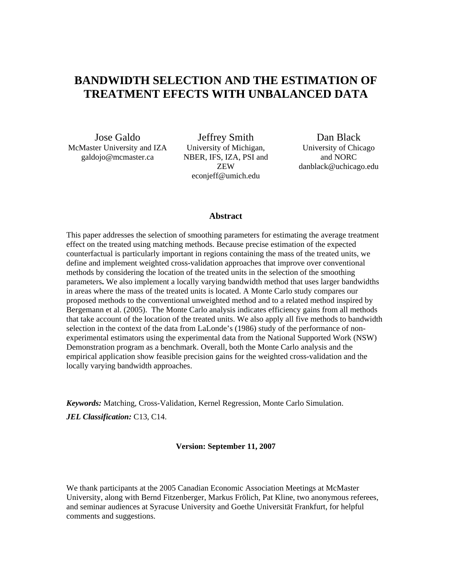## **BANDWIDTH SELECTION AND THE ESTIMATION OF TREATMENT EFECTS WITH UNBALANCED DATA**

Jose Galdo McMaster University and IZA galdojo@mcmaster.ca

Jeffrey Smith University of Michigan, NBER, IFS, IZA, PSI and ZEW econjeff@umich.edu

Dan Black University of Chicago and NORC danblack@uchicago.edu

#### **Abstract**

This paper addresses the selection of smoothing parameters for estimating the average treatment effect on the treated using matching methods. Because precise estimation of the expected counterfactual is particularly important in regions containing the mass of the treated units, we define and implement weighted cross-validation approaches that improve over conventional methods by considering the location of the treated units in the selection of the smoothing parameters**.** We also implement a locally varying bandwidth method that uses larger bandwidths in areas where the mass of the treated units is located. A Monte Carlo study compares our proposed methods to the conventional unweighted method and to a related method inspired by Bergemann et al. (2005). The Monte Carlo analysis indicates efficiency gains from all methods that take account of the location of the treated units. We also apply all five methods to bandwidth selection in the context of the data from LaLonde's (1986) study of the performance of nonexperimental estimators using the experimental data from the National Supported Work (NSW) Demonstration program as a benchmark. Overall, both the Monte Carlo analysis and the empirical application show feasible precision gains for the weighted cross-validation and the locally varying bandwidth approaches.

*Keywords:* Matching, Cross-Validation, Kernel Regression, Monte Carlo Simulation. *JEL Classification:* C13, C14.

#### **Version: September 11, 2007**

We thank participants at the 2005 Canadian Economic Association Meetings at McMaster University, along with Bernd Fitzenberger, Markus Frölich, Pat Kline, two anonymous referees, and seminar audiences at Syracuse University and Goethe Universität Frankfurt, for helpful comments and suggestions.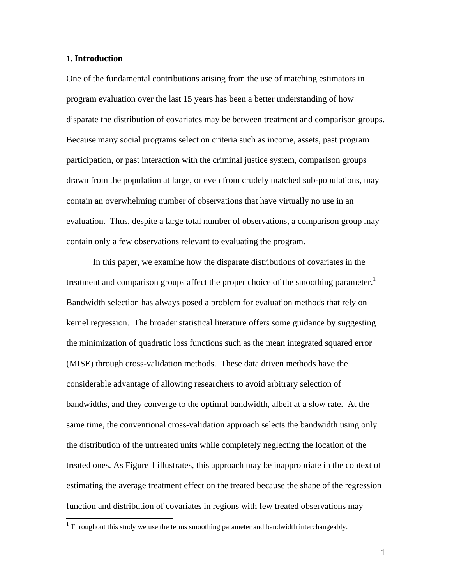#### **1. Introduction**

<u>.</u>

One of the fundamental contributions arising from the use of matching estimators in program evaluation over the last 15 years has been a better understanding of how disparate the distribution of covariates may be between treatment and comparison groups. Because many social programs select on criteria such as income, assets, past program participation, or past interaction with the criminal justice system, comparison groups drawn from the population at large, or even from crudely matched sub-populations, may contain an overwhelming number of observations that have virtually no use in an evaluation. Thus, despite a large total number of observations, a comparison group may contain only a few observations relevant to evaluating the program.

In this paper, we examine how the disparate distributions of covariates in the treatment and comparison groups affect the proper choice of the smoothing parameter.<sup>1</sup> Bandwidth selection has always posed a problem for evaluation methods that rely on kernel regression. The broader statistical literature offers some guidance by suggesting the minimization of quadratic loss functions such as the mean integrated squared error (MISE) through cross-validation methods. These data driven methods have the considerable advantage of allowing researchers to avoid arbitrary selection of bandwidths, and they converge to the optimal bandwidth, albeit at a slow rate. At the same time, the conventional cross-validation approach selects the bandwidth using only the distribution of the untreated units while completely neglecting the location of the treated ones. As Figure 1 illustrates, this approach may be inappropriate in the context of estimating the average treatment effect on the treated because the shape of the regression function and distribution of covariates in regions with few treated observations may

<sup>&</sup>lt;sup>1</sup> Throughout this study we use the terms smoothing parameter and bandwidth interchangeably.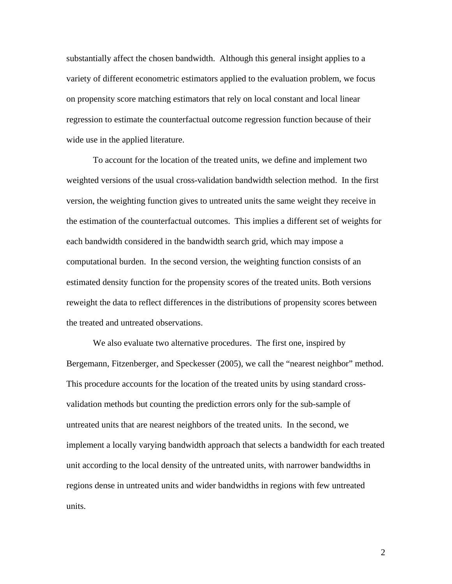substantially affect the chosen bandwidth. Although this general insight applies to a variety of different econometric estimators applied to the evaluation problem, we focus on propensity score matching estimators that rely on local constant and local linear regression to estimate the counterfactual outcome regression function because of their wide use in the applied literature.

To account for the location of the treated units, we define and implement two weighted versions of the usual cross-validation bandwidth selection method. In the first version, the weighting function gives to untreated units the same weight they receive in the estimation of the counterfactual outcomes. This implies a different set of weights for each bandwidth considered in the bandwidth search grid, which may impose a computational burden. In the second version, the weighting function consists of an estimated density function for the propensity scores of the treated units. Both versions reweight the data to reflect differences in the distributions of propensity scores between the treated and untreated observations.

We also evaluate two alternative procedures. The first one, inspired by Bergemann, Fitzenberger, and Speckesser (2005), we call the "nearest neighbor" method. This procedure accounts for the location of the treated units by using standard crossvalidation methods but counting the prediction errors only for the sub-sample of untreated units that are nearest neighbors of the treated units. In the second, we implement a locally varying bandwidth approach that selects a bandwidth for each treated unit according to the local density of the untreated units, with narrower bandwidths in regions dense in untreated units and wider bandwidths in regions with few untreated units.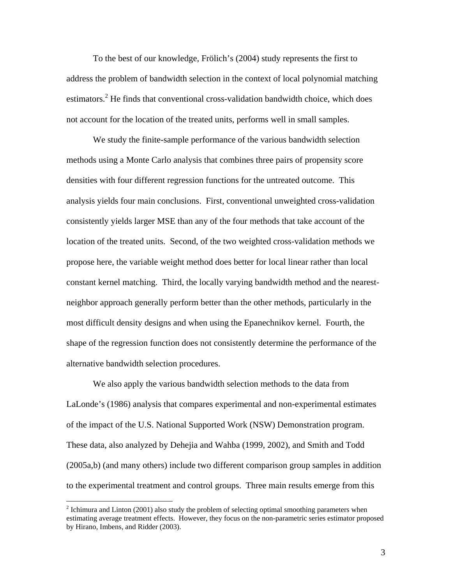To the best of our knowledge, Frölich's (2004) study represents the first to address the problem of bandwidth selection in the context of local polynomial matching estimators.<sup>2</sup> He finds that conventional cross-validation bandwidth choice, which does not account for the location of the treated units, performs well in small samples.

We study the finite-sample performance of the various bandwidth selection methods using a Monte Carlo analysis that combines three pairs of propensity score densities with four different regression functions for the untreated outcome. This analysis yields four main conclusions. First, conventional unweighted cross-validation consistently yields larger MSE than any of the four methods that take account of the location of the treated units. Second, of the two weighted cross-validation methods we propose here, the variable weight method does better for local linear rather than local constant kernel matching. Third, the locally varying bandwidth method and the nearestneighbor approach generally perform better than the other methods, particularly in the most difficult density designs and when using the Epanechnikov kernel. Fourth, the shape of the regression function does not consistently determine the performance of the alternative bandwidth selection procedures.

We also apply the various bandwidth selection methods to the data from LaLonde's (1986) analysis that compares experimental and non-experimental estimates of the impact of the U.S. National Supported Work (NSW) Demonstration program. These data, also analyzed by Dehejia and Wahba (1999, 2002), and Smith and Todd (2005a,b) (and many others) include two different comparison group samples in addition to the experimental treatment and control groups. Three main results emerge from this

 $\overline{a}$ 

 $2^{2}$  Ichimura and Linton (2001) also study the problem of selecting optimal smoothing parameters when estimating average treatment effects. However, they focus on the non-parametric series estimator proposed by Hirano, Imbens, and Ridder (2003).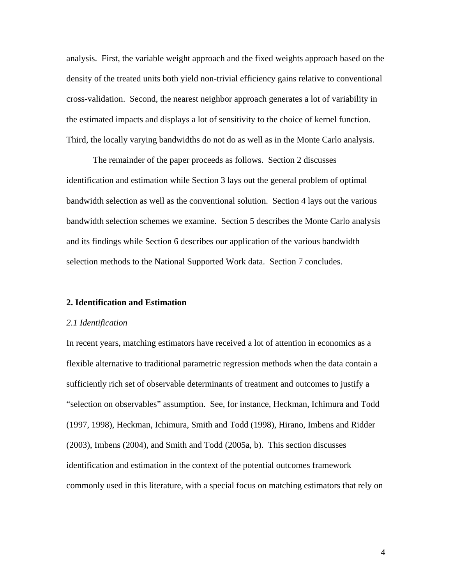analysis. First, the variable weight approach and the fixed weights approach based on the density of the treated units both yield non-trivial efficiency gains relative to conventional cross-validation. Second, the nearest neighbor approach generates a lot of variability in the estimated impacts and displays a lot of sensitivity to the choice of kernel function. Third, the locally varying bandwidths do not do as well as in the Monte Carlo analysis.

 The remainder of the paper proceeds as follows. Section 2 discusses identification and estimation while Section 3 lays out the general problem of optimal bandwidth selection as well as the conventional solution. Section 4 lays out the various bandwidth selection schemes we examine. Section 5 describes the Monte Carlo analysis and its findings while Section 6 describes our application of the various bandwidth selection methods to the National Supported Work data. Section 7 concludes.

#### **2. Identification and Estimation**

#### *2.1 Identification*

In recent years, matching estimators have received a lot of attention in economics as a flexible alternative to traditional parametric regression methods when the data contain a sufficiently rich set of observable determinants of treatment and outcomes to justify a "selection on observables" assumption. See, for instance, Heckman, Ichimura and Todd (1997, 1998), Heckman, Ichimura, Smith and Todd (1998), Hirano, Imbens and Ridder (2003), Imbens (2004), and Smith and Todd (2005a, b). This section discusses identification and estimation in the context of the potential outcomes framework commonly used in this literature, with a special focus on matching estimators that rely on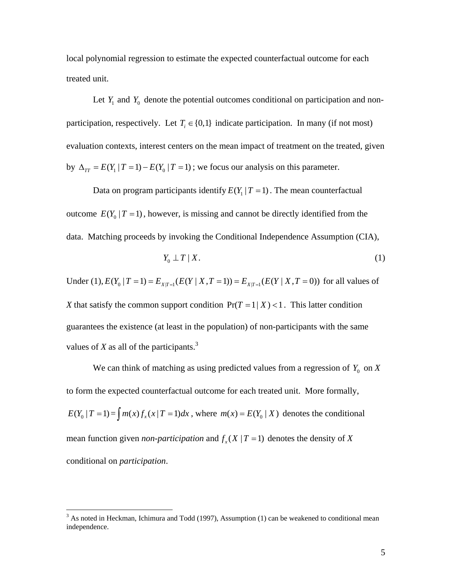local polynomial regression to estimate the expected counterfactual outcome for each treated unit.

Let  $Y_1$  and  $Y_0$  denote the potential outcomes conditional on participation and nonparticipation, respectively. Let  $T_i \in \{0,1\}$  indicate participation. In many (if not most) evaluation contexts, interest centers on the mean impact of treatment on the treated, given by  $\Delta_{TT} = E(Y_1 | T = 1) - E(Y_0 | T = 1)$ ; we focus our analysis on this parameter.

Data on program participants identify  $E(Y_1 | T = 1)$ . The mean counterfactual outcome  $E(Y_0 | T = 1)$ , however, is missing and cannot be directly identified from the data. Matching proceeds by invoking the Conditional Independence Assumption (CIA),

$$
Y_0 \perp T \mid X. \tag{1}
$$

Under (1),  $E(Y_0 | T = 1) = E_{X|T=1}(E(Y | X, T = 1)) = E_{X|T=1}(E(Y | X, T = 0))$  for all values of *X* that satisfy the common support condition  $Pr(T = 1 | X) < 1$ . This latter condition guarantees the existence (at least in the population) of non-participants with the same values of *X* as all of the participants.<sup>3</sup>

We can think of matching as using predicted values from a regression of  $Y_0$  on  $\overline{X}$ to form the expected counterfactual outcome for each treated unit. More formally,  $E(Y_0 | T = 1) = \int m(x) f_x(x | T = 1) dx$ , where  $m(x) = E(Y_0 | X)$  denotes the conditional mean function given *non-participation* and  $f(x | T = 1)$  denotes the density of X conditional on *participation*.

<sup>&</sup>lt;sup>3</sup> As noted in Heckman, Ichimura and Todd (1997), Assumption (1) can be weakened to conditional mean independence.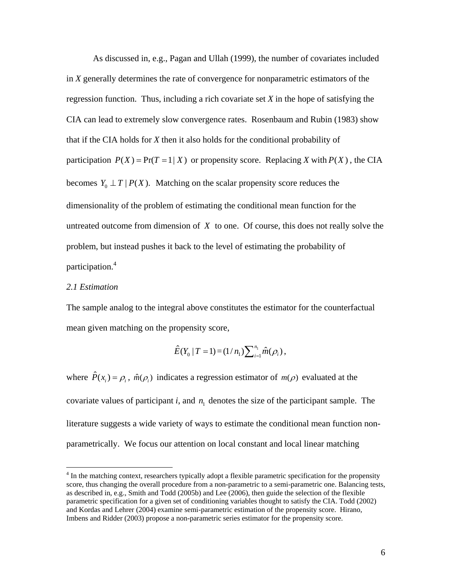As discussed in, e.g., Pagan and Ullah (1999), the number of covariates included in *X* generally determines the rate of convergence for nonparametric estimators of the regression function. Thus, including a rich covariate set *X* in the hope of satisfying the CIA can lead to extremely slow convergence rates. Rosenbaum and Rubin (1983) show that if the CIA holds for *X* then it also holds for the conditional probability of participation  $P(X) = Pr(T = 1 | X)$  or propensity score. Replacing *X* with  $P(X)$ , the CIA becomes  $Y_0 \perp T \mid P(X)$ . Matching on the scalar propensity score reduces the dimensionality of the problem of estimating the conditional mean function for the untreated outcome from dimension of *X* to one. Of course, this does not really solve the problem, but instead pushes it back to the level of estimating the probability of participation.<sup>4</sup>

#### *2.1 Estimation*

<u>.</u>

The sample analog to the integral above constitutes the estimator for the counterfactual mean given matching on the propensity score,

$$
\hat{E}(Y_0 | T = 1) = (1/n_1) \sum_{i=1}^{n_1} \hat{m}(\rho_i),
$$

where  $\hat{P}(x_i) = \rho_i$ ,  $\hat{m}(\rho_i)$  indicates a regression estimator of  $m(\rho)$  evaluated at the covariate values of participant  $i$ , and  $n_1$  denotes the size of the participant sample. The literature suggests a wide variety of ways to estimate the conditional mean function nonparametrically. We focus our attention on local constant and local linear matching

<sup>&</sup>lt;sup>4</sup> In the matching context, researchers typically adopt a flexible parametric specification for the propensity score, thus changing the overall procedure from a non-parametric to a semi-parametric one. Balancing tests, as described in, e.g., Smith and Todd (2005b) and Lee (2006), then guide the selection of the flexible parametric specification for a given set of conditioning variables thought to satisfy the CIA. Todd (2002) and Kordas and Lehrer (2004) examine semi-parametric estimation of the propensity score. Hirano, Imbens and Ridder (2003) propose a non-parametric series estimator for the propensity score.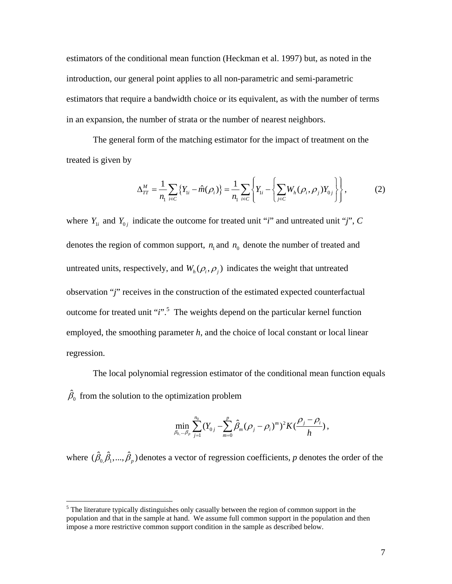estimators of the conditional mean function (Heckman et al. 1997) but, as noted in the introduction, our general point applies to all non-parametric and semi-parametric estimators that require a bandwidth choice or its equivalent, as with the number of terms in an expansion, the number of strata or the number of nearest neighbors.

The general form of the matching estimator for the impact of treatment on the treated is given by

$$
\Delta_{TT}^M = \frac{1}{n_1} \sum_{i \in C} \{ Y_{1i} - \hat{m}(\rho_i) \} = \frac{1}{n_1} \sum_{i \in C} \left\{ Y_{1i} - \left\{ \sum_{j \in C} W_h(\rho_i, \rho_j) Y_{0j} \right\} \right\},
$$
(2)

where  $Y_{1i}$  and  $Y_{0j}$  indicate the outcome for treated unit "*i*" and untreated unit "*j*", *C* denotes the region of common support,  $n_1$  and  $n_0$  denote the number of treated and untreated units, respectively, and  $W_h(\rho_i, \rho_j)$  indicates the weight that untreated observation "*j*" receives in the construction of the estimated expected counterfactual outcome for treated unit "*i*".<sup>5</sup> The weights depend on the particular kernel function employed, the smoothing parameter *h*, and the choice of local constant or local linear regression.

 The local polynomial regression estimator of the conditional mean function equals  $\hat{\beta}_0$  from the solution to the optimization problem

$$
\min_{\beta_{0,\dots,\beta_p}} \sum_{j=1}^{n_0} (Y_{0j} - \sum_{m=0}^p \hat{\beta}_m (\rho_j - \rho_i)^m)^2 K(\frac{\rho_j - \rho_i}{h}),
$$

where  $(\hat{\beta}_0, \hat{\beta}_1, ..., \hat{\beta}_p)$  denotes a vector of regression coefficients, *p* denotes the order of the

 $\overline{a}$ 

 $<sup>5</sup>$  The literature typically distinguishes only casually between the region of common support in the</sup> population and that in the sample at hand. We assume full common support in the population and then impose a more restrictive common support condition in the sample as described below.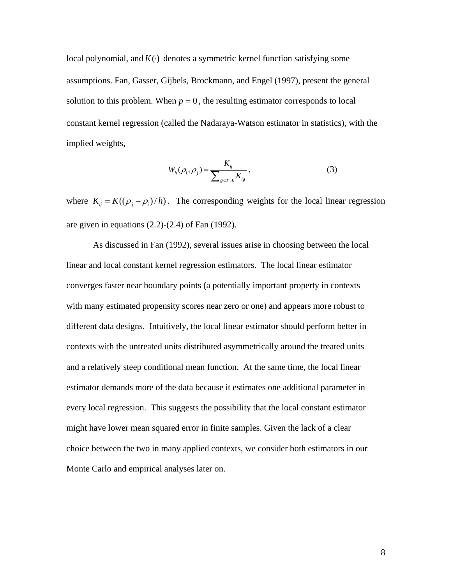local polynomial, and  $K(\cdot)$  denotes a symmetric kernel function satisfying some assumptions. Fan, Gasser, Gijbels, Brockmann, and Engel (1997), present the general solution to this problem. When  $p = 0$ , the resulting estimator corresponds to local constant kernel regression (called the Nadaraya-Watson estimator in statistics), with the implied weights,

$$
W_h(\rho_i, \rho_j) = \frac{K_{ij}}{\sum_{g \in T=0} K_{ig}}\,,\tag{3}
$$

where  $K_{ij} = K((\rho_i - \rho_i)/h)$ . The corresponding weights for the local linear regression are given in equations  $(2.2)-(2.4)$  of Fan  $(1992)$ .

 As discussed in Fan (1992), several issues arise in choosing between the local linear and local constant kernel regression estimators. The local linear estimator converges faster near boundary points (a potentially important property in contexts with many estimated propensity scores near zero or one) and appears more robust to different data designs. Intuitively, the local linear estimator should perform better in contexts with the untreated units distributed asymmetrically around the treated units and a relatively steep conditional mean function. At the same time, the local linear estimator demands more of the data because it estimates one additional parameter in every local regression. This suggests the possibility that the local constant estimator might have lower mean squared error in finite samples. Given the lack of a clear choice between the two in many applied contexts, we consider both estimators in our Monte Carlo and empirical analyses later on.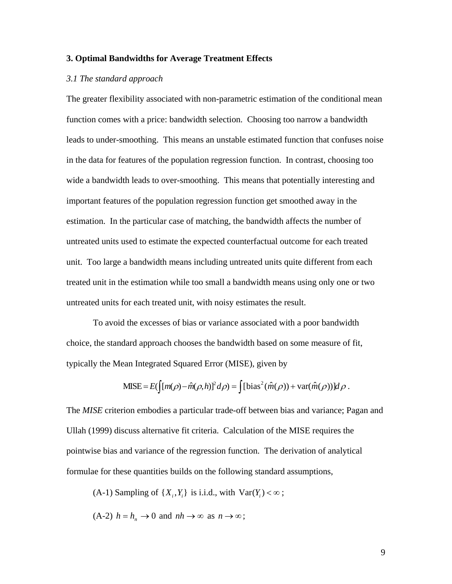#### **3. Optimal Bandwidths for Average Treatment Effects**

#### *3.1 The standard approach*

The greater flexibility associated with non-parametric estimation of the conditional mean function comes with a price: bandwidth selection. Choosing too narrow a bandwidth leads to under-smoothing. This means an unstable estimated function that confuses noise in the data for features of the population regression function. In contrast, choosing too wide a bandwidth leads to over-smoothing. This means that potentially interesting and important features of the population regression function get smoothed away in the estimation. In the particular case of matching, the bandwidth affects the number of untreated units used to estimate the expected counterfactual outcome for each treated unit. Too large a bandwidth means including untreated units quite different from each treated unit in the estimation while too small a bandwidth means using only one or two untreated units for each treated unit, with noisy estimates the result.

 To avoid the excesses of bias or variance associated with a poor bandwidth choice, the standard approach chooses the bandwidth based on some measure of fit, typically the Mean Integrated Squared Error (MISE), given by

$$
\text{MISE} = E\big(\big[(m(\rho) - \hat{m}(\rho, h))^2 d\rho\big) = \big[\big[\text{bias}^2(\hat{m}(\rho)) + \text{var}(\hat{m}(\rho))\big]d\rho\ .
$$

The *MISE* criterion embodies a particular trade-off between bias and variance; Pagan and Ullah (1999) discuss alternative fit criteria. Calculation of the MISE requires the pointwise bias and variance of the regression function. The derivation of analytical formulae for these quantities builds on the following standard assumptions,

(A-1) Sampling of  $\{X_i, Y_i\}$  is i.i.d., with  $\text{Var}(Y_i) < \infty$ ;

 $(A-2)$   $h = h_n \rightarrow 0$  and  $nh \rightarrow \infty$  as  $n \rightarrow \infty$ ;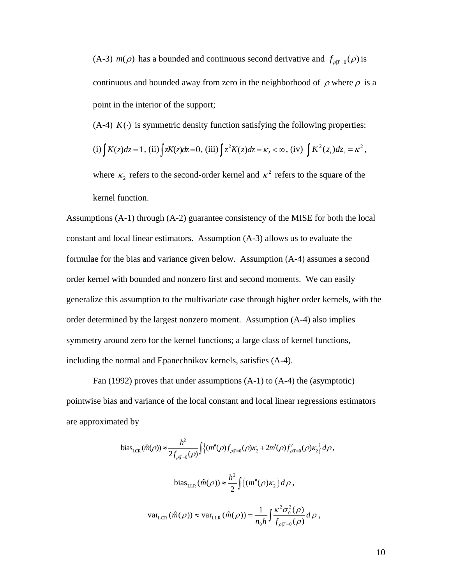(A-3)  $m(\rho)$  has a bounded and continuous second derivative and  $f_{\rho|T=0}(\rho)$  is continuous and bounded away from zero in the neighborhood of  $\rho$  where  $\rho$  is a point in the interior of the support;

(A-4)  $K(\cdot)$  is symmetric density function satisfying the following properties:

(i) 
$$
\int K(z)dz = 1
$$
, (ii)  $\int zK(z)dz = 0$ , (iii)  $\int z^2 K(z)dz = \kappa_2 < \infty$ , (iv)  $\int K^2(z_i)dz_i = \kappa^2$ ,

where  $\kappa_2$  refers to the second-order kernel and  $\kappa^2$  refers to the square of the kernel function.

Assumptions (A-1) through (A-2) guarantee consistency of the MISE for both the local constant and local linear estimators. Assumption (A-3) allows us to evaluate the formulae for the bias and variance given below. Assumption (A-4) assumes a second order kernel with bounded and nonzero first and second moments. We can easily generalize this assumption to the multivariate case through higher order kernels, with the order determined by the largest nonzero moment. Assumption (A-4) also implies symmetry around zero for the kernel functions; a large class of kernel functions, including the normal and Epanechnikov kernels, satisfies (A-4).

 Fan (1992) proves that under assumptions (A-1) to (A-4) the (asymptotic) pointwise bias and variance of the local constant and local linear regressions estimators are approximated by

bias<sub>LCR</sub> 
$$
(\hat{m}(\rho)) \approx \frac{h^2}{2f_{\rho|T=0}(\rho)} \int \{ (m''(\rho)f_{\rho|T=0}(\rho)\kappa_2 + 2m'(\rho)f_{\rho|T=0}(\rho)\kappa_2) d\rho
$$
,  
\nbias<sub>LLR</sub>  $(\hat{m}(\rho)) \approx \frac{h^2}{2} \int \{ (m''(\rho)\kappa_2) d\rho$ ,  
\nvar<sub>LCR</sub>  $(\hat{m}(\rho)) \approx \text{var}_{LLR} (\hat{m}(\rho)) = \frac{1}{n_0 h} \int \frac{\kappa^2 \sigma_0^2(\rho)}{f_{\rho|T=0}(\rho)} d\rho$ ,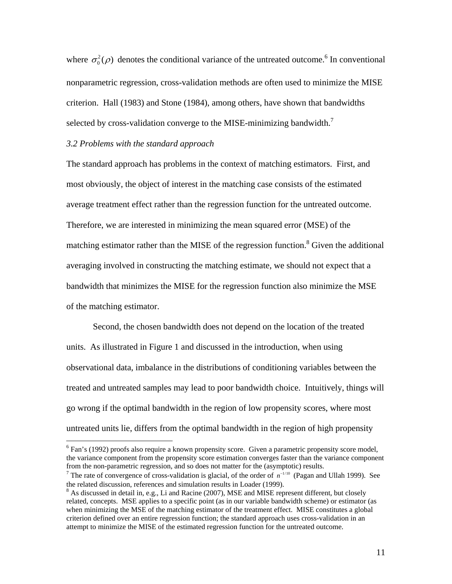where  $\sigma_0^2(\rho)$  denotes the conditional variance of the untreated outcome.<sup>6</sup> In conventional nonparametric regression, cross-validation methods are often used to minimize the MISE criterion. Hall (1983) and Stone (1984), among others, have shown that bandwidths selected by cross-validation converge to the MISE-minimizing bandwidth.<sup>7</sup>

#### *3.2 Problems with the standard approach*

 $\overline{a}$ 

The standard approach has problems in the context of matching estimators. First, and most obviously, the object of interest in the matching case consists of the estimated average treatment effect rather than the regression function for the untreated outcome. Therefore, we are interested in minimizing the mean squared error (MSE) of the matching estimator rather than the MISE of the regression function.<sup>8</sup> Given the additional averaging involved in constructing the matching estimate, we should not expect that a bandwidth that minimizes the MISE for the regression function also minimize the MSE of the matching estimator.

Second, the chosen bandwidth does not depend on the location of the treated units. As illustrated in Figure 1 and discussed in the introduction, when using observational data, imbalance in the distributions of conditioning variables between the treated and untreated samples may lead to poor bandwidth choice. Intuitively, things will go wrong if the optimal bandwidth in the region of low propensity scores, where most untreated units lie, differs from the optimal bandwidth in the region of high propensity

 $6$  Fan's (1992) proofs also require a known propensity score. Given a parametric propensity score model, the variance component from the propensity score estimation converges faster than the variance component from the non-parametric regression, and so does not matter for the (asymptotic) results.

<sup>&</sup>lt;sup>7</sup> The rate of convergence of cross-validation is glacial, of the order of  $n^{-1/10}$  (Pagan and Ullah 1999). See the related discussion, references and simulation results in Loader (1999).

 $8$  As discussed in detail in, e.g., Li and Racine (2007), MSE and MISE represent different, but closely related, concepts. MSE applies to a specific point (as in our variable bandwidth scheme) or estimator (as when minimizing the MSE of the matching estimator of the treatment effect. MISE constitutes a global criterion defined over an entire regression function; the standard approach uses cross-validation in an attempt to minimize the MISE of the estimated regression function for the untreated outcome.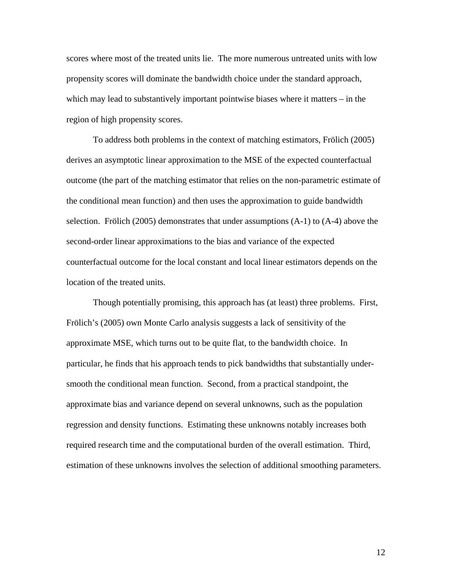scores where most of the treated units lie. The more numerous untreated units with low propensity scores will dominate the bandwidth choice under the standard approach, which may lead to substantively important pointwise biases where it matters – in the region of high propensity scores.

To address both problems in the context of matching estimators, Frölich (2005) derives an asymptotic linear approximation to the MSE of the expected counterfactual outcome (the part of the matching estimator that relies on the non-parametric estimate of the conditional mean function) and then uses the approximation to guide bandwidth selection. Frölich (2005) demonstrates that under assumptions (A-1) to (A-4) above the second-order linear approximations to the bias and variance of the expected counterfactual outcome for the local constant and local linear estimators depends on the location of the treated units.

 Though potentially promising, this approach has (at least) three problems. First, Frölich's (2005) own Monte Carlo analysis suggests a lack of sensitivity of the approximate MSE, which turns out to be quite flat, to the bandwidth choice. In particular, he finds that his approach tends to pick bandwidths that substantially undersmooth the conditional mean function. Second, from a practical standpoint, the approximate bias and variance depend on several unknowns, such as the population regression and density functions. Estimating these unknowns notably increases both required research time and the computational burden of the overall estimation. Third, estimation of these unknowns involves the selection of additional smoothing parameters.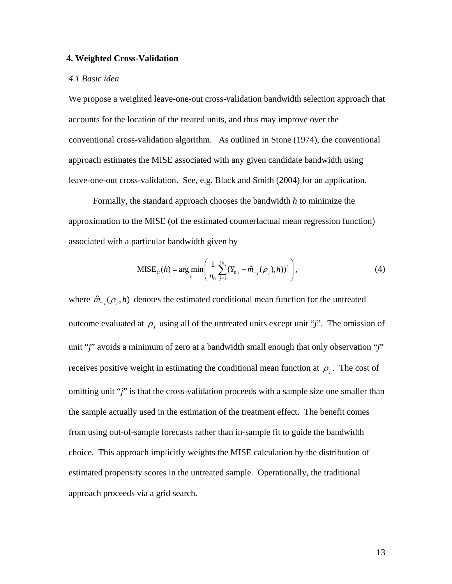#### **4. Weighted Cross-Validation**

#### *4.1 Basic idea*

We propose a weighted leave-one-out cross-validation bandwidth selection approach that accounts for the location of the treated units, and thus may improve over the conventional cross-validation algorithm. As outlined in Stone (1974), the conventional approach estimates the MISE associated with any given candidate bandwidth using leave-one-out cross-validation. See, e.g. Black and Smith (2004) for an application.

 Formally, the standard approach chooses the bandwidth *h* to minimize the approximation to the MISE (of the estimated counterfactual mean regression function) associated with a particular bandwidth given by

$$
MISE_{C}(h) = \arg\min_{h} \left( \frac{1}{n_0} \sum_{j=1}^{n_0} (Y_{0j} - \hat{m}_{-j}(\rho_j), h))^2 \right),
$$
 (4)

where  $\hat{m}_{-i}(\rho_i, h)$  denotes the estimated conditional mean function for the untreated outcome evaluated at  $\rho_i$  using all of the untreated units except unit "*j*". The omission of unit "*j*" avoids a minimum of zero at a bandwidth small enough that only observation "*j*" receives positive weight in estimating the conditional mean function at  $\rho_i$ . The cost of omitting unit "*j*" is that the cross-validation proceeds with a sample size one smaller than the sample actually used in the estimation of the treatment effect. The benefit comes from using out-of-sample forecasts rather than in-sample fit to guide the bandwidth choice. This approach implicitly weights the MISE calculation by the distribution of estimated propensity scores in the untreated sample. Operationally, the traditional approach proceeds via a grid search.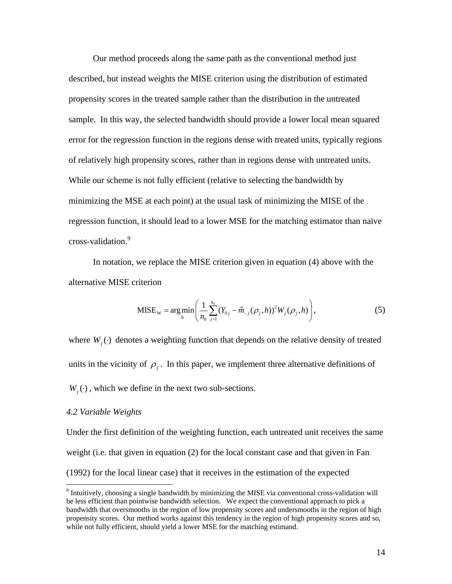Our method proceeds along the same path as the conventional method just described, but instead weights the MISE criterion using the distribution of estimated propensity scores in the treated sample rather than the distribution in the untreated sample. In this way, the selected bandwidth should provide a lower local mean squared error for the regression function in the regions dense with treated units, typically regions of relatively high propensity scores, rather than in regions dense with untreated units. While our scheme is not fully efficient (relative to selecting the bandwidth by minimizing the MSE at each point) at the usual task of minimizing the MISE of the regression function, it should lead to a lower MSE for the matching estimator than naïve cross-validation.9

 In notation, we replace the MISE criterion given in equation (4) above with the alternative MISE criterion

$$
MISE_w = \arg\min_{h} \left( \frac{1}{n_0} \sum_{j=1}^{n_0} (Y_{0j} - \hat{m}_{-j}(\rho_j, h))^2 W_j(\rho_j, h) \right),
$$
(5)

where  $W_i(\cdot)$  denotes a weighting function that depends on the relative density of treated units in the vicinity of  $\rho_i$ . In this paper, we implement three alternative definitions of  $W_i(\cdot)$ , which we define in the next two sub-sections.

#### *4.2 Variable Weights*

 $\overline{a}$ 

Under the first definition of the weighting function, each untreated unit receives the same weight (i.e. that given in equation (2) for the local constant case and that given in Fan (1992) for the local linear case) that it receives in the estimation of the expected

 $9$  Intuitively, choosing a single bandwidth by minimizing the MISE via conventional cross-validation will be less efficient than pointwise bandwidth selection. We expect the conventional approach to pick a bandwidth that oversmooths in the region of low propensity scores and undersmooths in the region of high propensity scores. Our method works against this tendency in the region of high propensity scores and so, while not fully efficient, should yield a lower MSE for the matching estimand.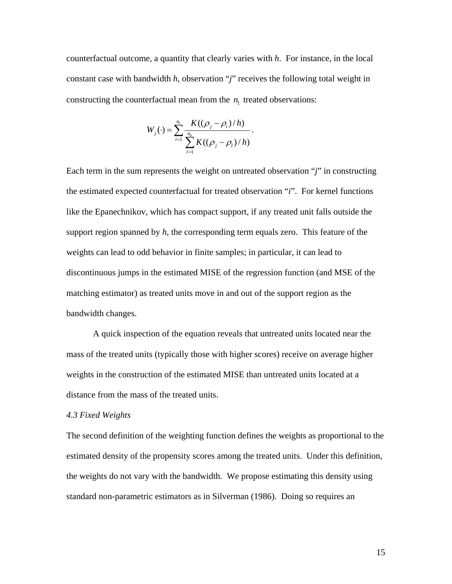counterfactual outcome, a quantity that clearly varies with *h*. For instance, in the local constant case with bandwidth *h*, observation "*j*" receives the following total weight in constructing the counterfactual mean from the  $n_1$  treated observations:

$$
W_j(\cdot) = \sum_{i=1}^{n_1} \frac{K((\rho_j - \rho_i)/h)}{\sum_{l=1}^{n_0} K((\rho_j - \rho_l)/h)}.
$$

Each term in the sum represents the weight on untreated observation "*j*" in constructing the estimated expected counterfactual for treated observation "*i*". For kernel functions like the Epanechnikov, which has compact support, if any treated unit falls outside the support region spanned by *h*, the corresponding term equals zero. This feature of the weights can lead to odd behavior in finite samples; in particular, it can lead to discontinuous jumps in the estimated MISE of the regression function (and MSE of the matching estimator) as treated units move in and out of the support region as the bandwidth changes.

A quick inspection of the equation reveals that untreated units located near the mass of the treated units (typically those with higher scores) receive on average higher weights in the construction of the estimated MISE than untreated units located at a distance from the mass of the treated units.

#### *4.3 Fixed Weights*

The second definition of the weighting function defines the weights as proportional to the estimated density of the propensity scores among the treated units. Under this definition, the weights do not vary with the bandwidth. We propose estimating this density using standard non-parametric estimators as in Silverman (1986). Doing so requires an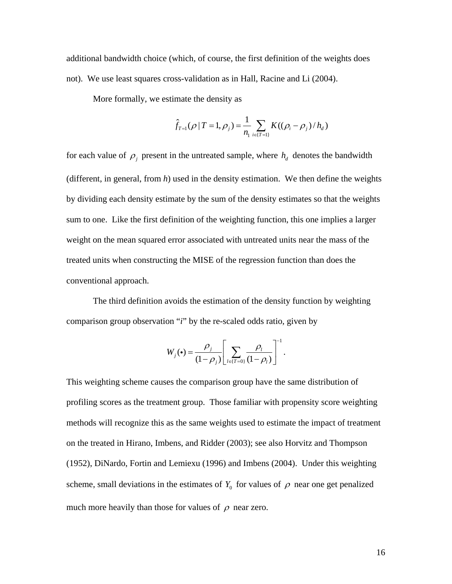additional bandwidth choice (which, of course, the first definition of the weights does not). We use least squares cross-validation as in Hall, Racine and Li (2004).

More formally, we estimate the density as

$$
\hat{f}_{T=1}(\rho | T=1, \rho_j) = \frac{1}{n_1} \sum_{i \in [T=1]} K((\rho_i - \rho_j) / h_d)
$$

for each value of  $\rho_i$  present in the untreated sample, where  $h_d$  denotes the bandwidth (different, in general, from *h*) used in the density estimation. We then define the weights by dividing each density estimate by the sum of the density estimates so that the weights sum to one. Like the first definition of the weighting function, this one implies a larger weight on the mean squared error associated with untreated units near the mass of the treated units when constructing the MISE of the regression function than does the conventional approach.

 The third definition avoids the estimation of the density function by weighting comparison group observation "*i*" by the re-scaled odds ratio, given by

$$
W_j(\bullet) = \frac{\rho_j}{(1-\rho_j)} \left[ \sum_{l \in \{T=0\}} \frac{\rho_l}{(1-\rho_l)} \right]^{-1}.
$$

This weighting scheme causes the comparison group have the same distribution of profiling scores as the treatment group. Those familiar with propensity score weighting methods will recognize this as the same weights used to estimate the impact of treatment on the treated in Hirano, Imbens, and Ridder (2003); see also Horvitz and Thompson (1952), DiNardo, Fortin and Lemiexu (1996) and Imbens (2004). Under this weighting scheme, small deviations in the estimates of  $Y_0$  for values of  $\rho$  near one get penalized much more heavily than those for values of  $\rho$  near zero.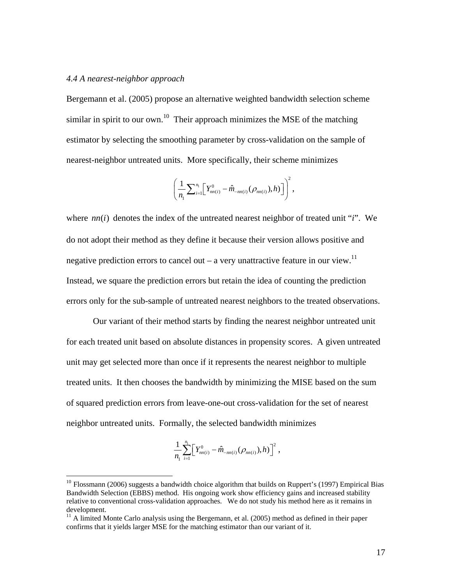#### *4.4 A nearest-neighbor approach*

 $\overline{a}$ 

Bergemann et al. (2005) propose an alternative weighted bandwidth selection scheme similar in spirit to our own.<sup>10</sup> Their approach minimizes the MSE of the matching estimator by selecting the smoothing parameter by cross-validation on the sample of nearest-neighbor untreated units. More specifically, their scheme minimizes

$$
\left(\frac{1}{n_1}\sum_{i=1}^{n_1} \left[Y_{nn(i)}^0 - \hat{m}_{-nn(i)}(\rho_{nn(i)}), h)\right]\right)^2,
$$

where  $nn(i)$  denotes the index of the untreated nearest neighbor of treated unit "*i*". We do not adopt their method as they define it because their version allows positive and negative prediction errors to cancel out – a very unattractive feature in our view.<sup>11</sup> Instead, we square the prediction errors but retain the idea of counting the prediction errors only for the sub-sample of untreated nearest neighbors to the treated observations.

 Our variant of their method starts by finding the nearest neighbor untreated unit for each treated unit based on absolute distances in propensity scores. A given untreated unit may get selected more than once if it represents the nearest neighbor to multiple treated units. It then chooses the bandwidth by minimizing the MISE based on the sum of squared prediction errors from leave-one-out cross-validation for the set of nearest neighbor untreated units. Formally, the selected bandwidth minimizes

$$
\frac{1}{n_1}\sum_{i=1}^{n_1}\Bigl[Y^0_{nn(i)}-\hat{m}_{-nn(i)}(\rho_{nn(i)}),h)\Bigr]^2\ ,
$$

 $10$  Flossmann (2006) suggests a bandwidth choice algorithm that builds on Ruppert's (1997) Empirical Bias Bandwidth Selection (EBBS) method. His ongoing work show efficiency gains and increased stability relative to conventional cross-validation approaches. We do not study his method here as it remains in development.

 $11$  A limited Monte Carlo analysis using the Bergemann, et al. (2005) method as defined in their paper confirms that it yields larger MSE for the matching estimator than our variant of it.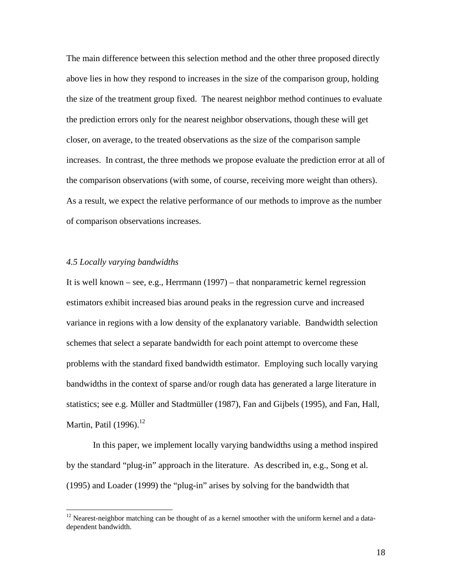The main difference between this selection method and the other three proposed directly above lies in how they respond to increases in the size of the comparison group, holding the size of the treatment group fixed. The nearest neighbor method continues to evaluate the prediction errors only for the nearest neighbor observations, though these will get closer, on average, to the treated observations as the size of the comparison sample increases. In contrast, the three methods we propose evaluate the prediction error at all of the comparison observations (with some, of course, receiving more weight than others). As a result, we expect the relative performance of our methods to improve as the number of comparison observations increases.

#### *4.5 Locally varying bandwidths*

 $\overline{a}$ 

It is well known – see, e.g., Herrmann (1997) – that nonparametric kernel regression estimators exhibit increased bias around peaks in the regression curve and increased variance in regions with a low density of the explanatory variable. Bandwidth selection schemes that select a separate bandwidth for each point attempt to overcome these problems with the standard fixed bandwidth estimator. Employing such locally varying bandwidths in the context of sparse and/or rough data has generated a large literature in statistics; see e.g. Müller and Stadtmüller (1987), Fan and Gijbels (1995), and Fan, Hall, Martin, Patil  $(1996)$ <sup>12</sup>

In this paper, we implement locally varying bandwidths using a method inspired by the standard "plug-in" approach in the literature. As described in, e.g., Song et al. (1995) and Loader (1999) the "plug-in" arises by solving for the bandwidth that

 $12$  Nearest-neighbor matching can be thought of as a kernel smoother with the uniform kernel and a datadependent bandwidth.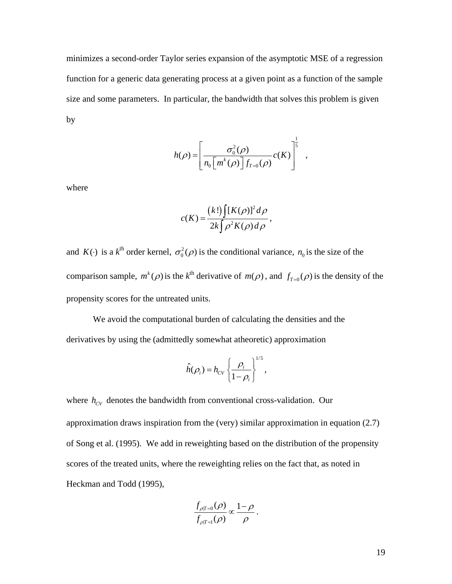minimizes a second-order Taylor series expansion of the asymptotic MSE of a regression function for a generic data generating process at a given point as a function of the sample size and some parameters. In particular, the bandwidth that solves this problem is given by

$$
h(\rho) = \left[ \frac{\sigma_0^2(\rho)}{n_0 \left[ m^k(\rho) \right] f_{T=0}(\rho)} c(K) \right]^{\frac{1}{5}},
$$

where

$$
c(K) = \frac{(k!)\int [K(\rho)]^2 d\rho}{2k\int \rho^2 K(\rho) d\rho},
$$

and  $K(\cdot)$  is a  $k^{\text{th}}$  order kernel,  $\sigma_0^2(\rho)$  is the conditional variance,  $n_0$  is the size of the comparison sample,  $m^k(\rho)$  is the  $k^{\text{th}}$  derivative of  $m(\rho)$ , and  $f_{T=0}(\rho)$  is the density of the propensity scores for the untreated units.

 We avoid the computational burden of calculating the densities and the derivatives by using the (admittedly somewhat atheoretic) approximation

$$
\hat{h}(\rho_i) = h_{CV} \left\{ \frac{\rho_i}{1 - \rho_i} \right\}^{1/5},
$$

where  $h_{CV}$  denotes the bandwidth from conventional cross-validation. Our approximation draws inspiration from the (very) similar approximation in equation (2.7) of Song et al. (1995). We add in reweighting based on the distribution of the propensity scores of the treated units, where the reweighting relies on the fact that, as noted in Heckman and Todd (1995),

$$
\frac{f_{\rho|T=0}(\rho)}{f_{\rho|T=1}(\rho)} \propto \frac{1-\rho}{\rho}.
$$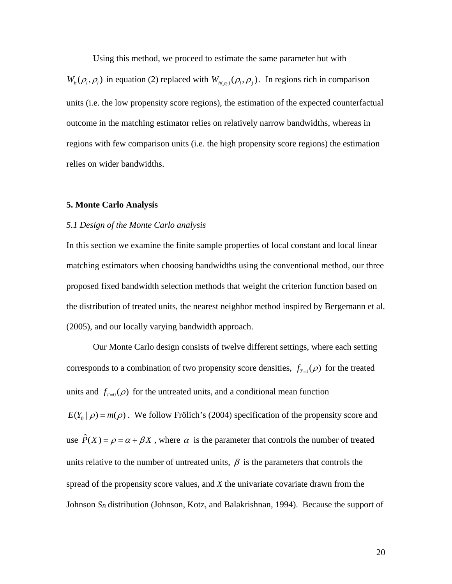Using this method, we proceed to estimate the same parameter but with

 $W_h(\rho_i, \rho_i)$  in equation (2) replaced with  $W_{h(\rho_i)}(\rho_i, \rho_i)$ . In regions rich in comparison units (i.e. the low propensity score regions), the estimation of the expected counterfactual outcome in the matching estimator relies on relatively narrow bandwidths, whereas in regions with few comparison units (i.e. the high propensity score regions) the estimation relies on wider bandwidths.

#### **5. Monte Carlo Analysis**

#### *5.1 Design of the Monte Carlo analysis*

In this section we examine the finite sample properties of local constant and local linear matching estimators when choosing bandwidths using the conventional method, our three proposed fixed bandwidth selection methods that weight the criterion function based on the distribution of treated units, the nearest neighbor method inspired by Bergemann et al. (2005), and our locally varying bandwidth approach.

 Our Monte Carlo design consists of twelve different settings, where each setting corresponds to a combination of two propensity score densities,  $f_{T=1}(\rho)$  for the treated units and  $f_{T=0}(\rho)$  for the untreated units, and a conditional mean function  $E(Y_0 | \rho) = m(\rho)$ . We follow Frölich's (2004) specification of the propensity score and use  $\hat{P}(X) = \rho = \alpha + \beta X$ , where  $\alpha$  is the parameter that controls the number of treated units relative to the number of untreated units,  $\beta$  is the parameters that controls the spread of the propensity score values, and *X* the univariate covariate drawn from the Johnson  $S_B$  distribution (Johnson, Kotz, and Balakrishnan, 1994). Because the support of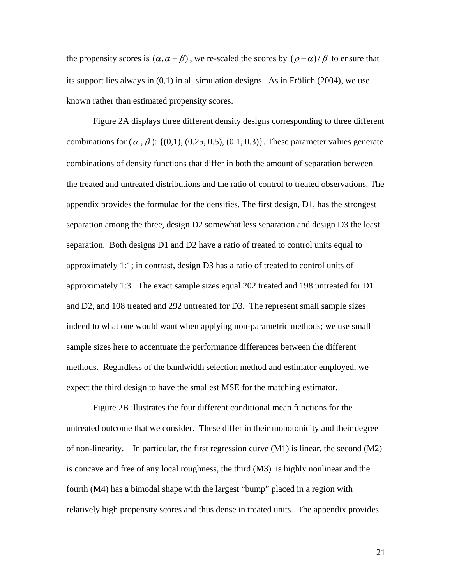the propensity scores is  $(\alpha, \alpha + \beta)$ , we re-scaled the scores by  $(\rho - \alpha) / \beta$  to ensure that its support lies always in (0,1) in all simulation designs. As in Frölich (2004), we use known rather than estimated propensity scores.

 Figure 2A displays three different density designs corresponding to three different combinations for ( $\alpha$ ,  $\beta$ ): {(0,1), (0.25, 0.5), (0.1, 0.3)}. These parameter values generate combinations of density functions that differ in both the amount of separation between the treated and untreated distributions and the ratio of control to treated observations. The appendix provides the formulae for the densities. The first design, D1, has the strongest separation among the three, design D2 somewhat less separation and design D3 the least separation. Both designs D1 and D2 have a ratio of treated to control units equal to approximately 1:1; in contrast, design D3 has a ratio of treated to control units of approximately 1:3. The exact sample sizes equal 202 treated and 198 untreated for D1 and D2, and 108 treated and 292 untreated for D3. The represent small sample sizes indeed to what one would want when applying non-parametric methods; we use small sample sizes here to accentuate the performance differences between the different methods. Regardless of the bandwidth selection method and estimator employed, we expect the third design to have the smallest MSE for the matching estimator.

Figure 2B illustrates the four different conditional mean functions for the untreated outcome that we consider. These differ in their monotonicity and their degree of non-linearity. In particular, the first regression curve (M1) is linear, the second (M2) is concave and free of any local roughness, the third (M3) is highly nonlinear and the fourth (M4) has a bimodal shape with the largest "bump" placed in a region with relatively high propensity scores and thus dense in treated units. The appendix provides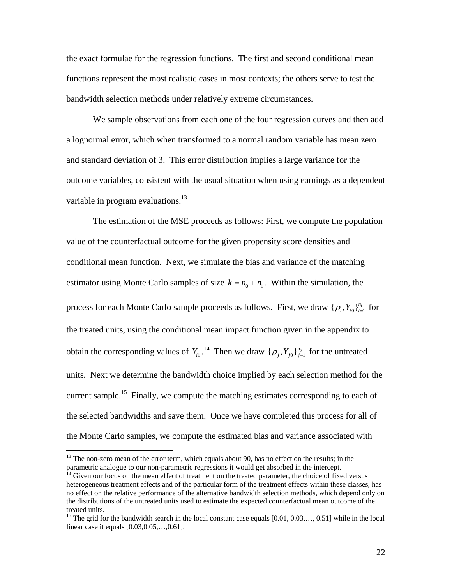the exact formulae for the regression functions. The first and second conditional mean functions represent the most realistic cases in most contexts; the others serve to test the bandwidth selection methods under relatively extreme circumstances.

 We sample observations from each one of the four regression curves and then add a lognormal error, which when transformed to a normal random variable has mean zero and standard deviation of 3. This error distribution implies a large variance for the outcome variables, consistent with the usual situation when using earnings as a dependent variable in program evaluations. $^{13}$ 

 The estimation of the MSE proceeds as follows: First, we compute the population value of the counterfactual outcome for the given propensity score densities and conditional mean function. Next, we simulate the bias and variance of the matching estimator using Monte Carlo samples of size  $k = n_0 + n_1$ . Within the simulation, the process for each Monte Carlo sample proceeds as follows. First, we draw  $\{\rho_i, Y_{i0}\}_{i=1}^{n_1}$  for the treated units, using the conditional mean impact function given in the appendix to obtain the corresponding values of  $Y_{i1}$ .<sup>14</sup> Then we draw  $\{p_j, Y_{j0}\}_{j=1}^{n_0}$  for the untreated units. Next we determine the bandwidth choice implied by each selection method for the current sample.<sup>15</sup> Finally, we compute the matching estimates corresponding to each of the selected bandwidths and save them. Once we have completed this process for all of the Monte Carlo samples, we compute the estimated bias and variance associated with

 $\overline{a}$ 

<sup>&</sup>lt;sup>13</sup> The non-zero mean of the error term, which equals about 90, has no effect on the results; in the parametric analogue to our non-parametric regressions it would get absorbed in the intercept.<br><sup>14</sup> Given our focus on the mean effect of treatment on the treated parameter, the choice of fixed versus

heterogeneous treatment effects and of the particular form of the treatment effects within these classes, has no effect on the relative performance of the alternative bandwidth selection methods, which depend only on the distributions of the untreated units used to estimate the expected counterfactual mean outcome of the treated units.

<sup>&</sup>lt;sup>15</sup> The grid for the bandwidth search in the local constant case equals [0.01, 0.03,..., 0.51] while in the local linear case it equals [0.03,0.05,…,0.61].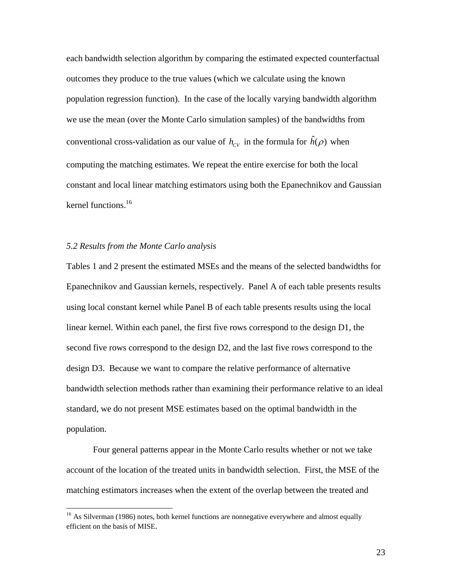each bandwidth selection algorithm by comparing the estimated expected counterfactual outcomes they produce to the true values (which we calculate using the known population regression function). In the case of the locally varying bandwidth algorithm we use the mean (over the Monte Carlo simulation samples) of the bandwidths from conventional cross-validation as our value of  $h_{CV}$  in the formula for  $\hat{h}(\rho)$  when computing the matching estimates. We repeat the entire exercise for both the local constant and local linear matching estimators using both the Epanechnikov and Gaussian kernel functions.<sup>16</sup>

#### *5.2 Results from the Monte Carlo analysis*

 $\overline{a}$ 

Tables 1 and 2 present the estimated MSEs and the means of the selected bandwidths for Epanechnikov and Gaussian kernels, respectively. Panel A of each table presents results using local constant kernel while Panel B of each table presents results using the local linear kernel. Within each panel, the first five rows correspond to the design D1, the second five rows correspond to the design D2, and the last five rows correspond to the design D3. Because we want to compare the relative performance of alternative bandwidth selection methods rather than examining their performance relative to an ideal standard, we do not present MSE estimates based on the optimal bandwidth in the population.

Four general patterns appear in the Monte Carlo results whether or not we take account of the location of the treated units in bandwidth selection. First, the MSE of the matching estimators increases when the extent of the overlap between the treated and

<sup>&</sup>lt;sup>16</sup> As Silverman (1986) notes, both kernel functions are nonnegative everywhere and almost equally efficient on the basis of MISE.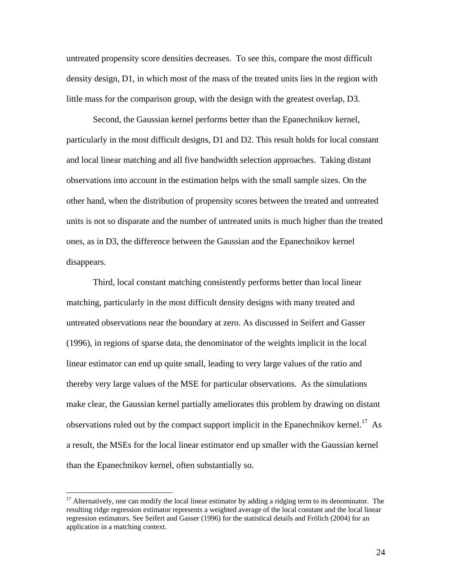untreated propensity score densities decreases. To see this, compare the most difficult density design, D1, in which most of the mass of the treated units lies in the region with little mass for the comparison group, with the design with the greatest overlap, D3.

Second, the Gaussian kernel performs better than the Epanechnikov kernel, particularly in the most difficult designs, D1 and D2. This result holds for local constant and local linear matching and all five bandwidth selection approaches. Taking distant observations into account in the estimation helps with the small sample sizes. On the other hand, when the distribution of propensity scores between the treated and untreated units is not so disparate and the number of untreated units is much higher than the treated ones, as in D3, the difference between the Gaussian and the Epanechnikov kernel disappears.

Third, local constant matching consistently performs better than local linear matching, particularly in the most difficult density designs with many treated and untreated observations near the boundary at zero. As discussed in Seifert and Gasser (1996), in regions of sparse data, the denominator of the weights implicit in the local linear estimator can end up quite small, leading to very large values of the ratio and thereby very large values of the MSE for particular observations. As the simulations make clear, the Gaussian kernel partially ameliorates this problem by drawing on distant observations ruled out by the compact support implicit in the Epanechnikov kernel.<sup>17</sup> As a result, the MSEs for the local linear estimator end up smaller with the Gaussian kernel than the Epanechnikov kernel, often substantially so.

<u>.</u>

 $17$  Alternatively, one can modify the local linear estimator by adding a ridging term to its denominator. The resulting ridge regression estimator represents a weighted average of the local constant and the local linear regression estimators. See Seifert and Gasser (1996) for the statistical details and Frölich (2004) for an application in a matching context.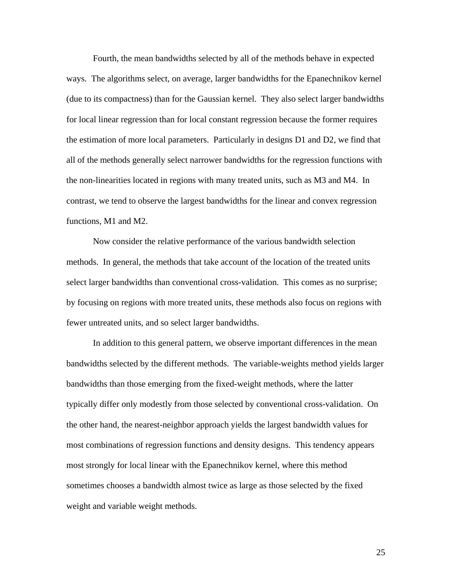Fourth, the mean bandwidths selected by all of the methods behave in expected ways. The algorithms select, on average, larger bandwidths for the Epanechnikov kernel (due to its compactness) than for the Gaussian kernel. They also select larger bandwidths for local linear regression than for local constant regression because the former requires the estimation of more local parameters. Particularly in designs D1 and D2, we find that all of the methods generally select narrower bandwidths for the regression functions with the non-linearities located in regions with many treated units, such as M3 and M4. In contrast, we tend to observe the largest bandwidths for the linear and convex regression functions, M1 and M2.

 Now consider the relative performance of the various bandwidth selection methods. In general, the methods that take account of the location of the treated units select larger bandwidths than conventional cross-validation. This comes as no surprise; by focusing on regions with more treated units, these methods also focus on regions with fewer untreated units, and so select larger bandwidths.

 In addition to this general pattern, we observe important differences in the mean bandwidths selected by the different methods. The variable-weights method yields larger bandwidths than those emerging from the fixed-weight methods, where the latter typically differ only modestly from those selected by conventional cross-validation. On the other hand, the nearest-neighbor approach yields the largest bandwidth values for most combinations of regression functions and density designs. This tendency appears most strongly for local linear with the Epanechnikov kernel, where this method sometimes chooses a bandwidth almost twice as large as those selected by the fixed weight and variable weight methods.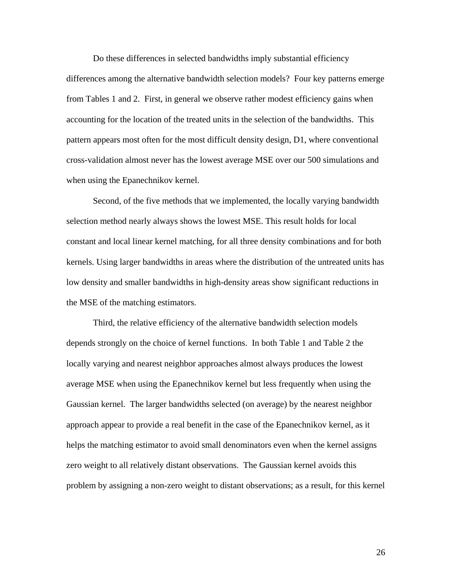Do these differences in selected bandwidths imply substantial efficiency differences among the alternative bandwidth selection models? Four key patterns emerge from Tables 1 and 2. First, in general we observe rather modest efficiency gains when accounting for the location of the treated units in the selection of the bandwidths. This pattern appears most often for the most difficult density design, D1, where conventional cross-validation almost never has the lowest average MSE over our 500 simulations and when using the Epanechnikov kernel.

Second, of the five methods that we implemented, the locally varying bandwidth selection method nearly always shows the lowest MSE. This result holds for local constant and local linear kernel matching, for all three density combinations and for both kernels. Using larger bandwidths in areas where the distribution of the untreated units has low density and smaller bandwidths in high-density areas show significant reductions in the MSE of the matching estimators.

Third, the relative efficiency of the alternative bandwidth selection models depends strongly on the choice of kernel functions. In both Table 1 and Table 2 the locally varying and nearest neighbor approaches almost always produces the lowest average MSE when using the Epanechnikov kernel but less frequently when using the Gaussian kernel. The larger bandwidths selected (on average) by the nearest neighbor approach appear to provide a real benefit in the case of the Epanechnikov kernel, as it helps the matching estimator to avoid small denominators even when the kernel assigns zero weight to all relatively distant observations. The Gaussian kernel avoids this problem by assigning a non-zero weight to distant observations; as a result, for this kernel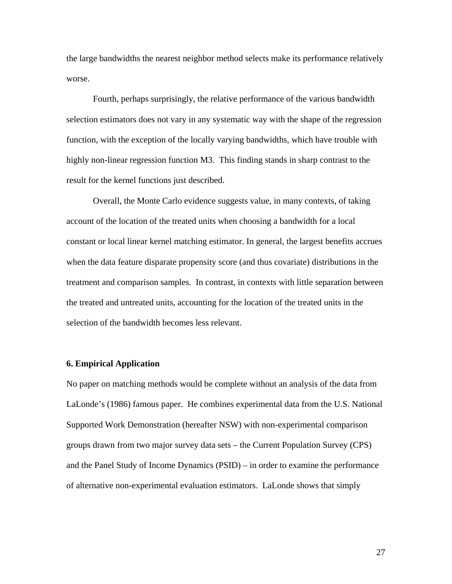the large bandwidths the nearest neighbor method selects make its performance relatively worse.

 Fourth, perhaps surprisingly, the relative performance of the various bandwidth selection estimators does not vary in any systematic way with the shape of the regression function, with the exception of the locally varying bandwidths, which have trouble with highly non-linear regression function M3. This finding stands in sharp contrast to the result for the kernel functions just described.

 Overall, the Monte Carlo evidence suggests value, in many contexts, of taking account of the location of the treated units when choosing a bandwidth for a local constant or local linear kernel matching estimator. In general, the largest benefits accrues when the data feature disparate propensity score (and thus covariate) distributions in the treatment and comparison samples. In contrast, in contexts with little separation between the treated and untreated units, accounting for the location of the treated units in the selection of the bandwidth becomes less relevant.

#### **6. Empirical Application**

No paper on matching methods would be complete without an analysis of the data from LaLonde's (1986) famous paper. He combines experimental data from the U.S. National Supported Work Demonstration (hereafter NSW) with non-experimental comparison groups drawn from two major survey data sets – the Current Population Survey (CPS) and the Panel Study of Income Dynamics (PSID) – in order to examine the performance of alternative non-experimental evaluation estimators. LaLonde shows that simply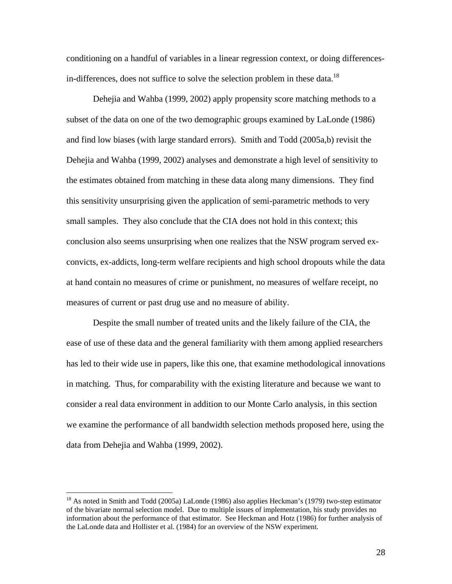conditioning on a handful of variables in a linear regression context, or doing differencesin-differences, does not suffice to solve the selection problem in these data.<sup>18</sup>

 Dehejia and Wahba (1999, 2002) apply propensity score matching methods to a subset of the data on one of the two demographic groups examined by LaLonde (1986) and find low biases (with large standard errors). Smith and Todd (2005a,b) revisit the Dehejia and Wahba (1999, 2002) analyses and demonstrate a high level of sensitivity to the estimates obtained from matching in these data along many dimensions. They find this sensitivity unsurprising given the application of semi-parametric methods to very small samples. They also conclude that the CIA does not hold in this context; this conclusion also seems unsurprising when one realizes that the NSW program served exconvicts, ex-addicts, long-term welfare recipients and high school dropouts while the data at hand contain no measures of crime or punishment, no measures of welfare receipt, no measures of current or past drug use and no measure of ability.

Despite the small number of treated units and the likely failure of the CIA, the ease of use of these data and the general familiarity with them among applied researchers has led to their wide use in papers, like this one, that examine methodological innovations in matching. Thus, for comparability with the existing literature and because we want to consider a real data environment in addition to our Monte Carlo analysis, in this section we examine the performance of all bandwidth selection methods proposed here, using the data from Dehejia and Wahba (1999, 2002).

 $\overline{a}$ 

<sup>&</sup>lt;sup>18</sup> As noted in Smith and Todd (2005a) LaLonde (1986) also applies Heckman's (1979) two-step estimator of the bivariate normal selection model. Due to multiple issues of implementation, his study provides no information about the performance of that estimator. See Heckman and Hotz (1986) for further analysis of the LaLonde data and Hollister et al. (1984) for an overview of the NSW experiment.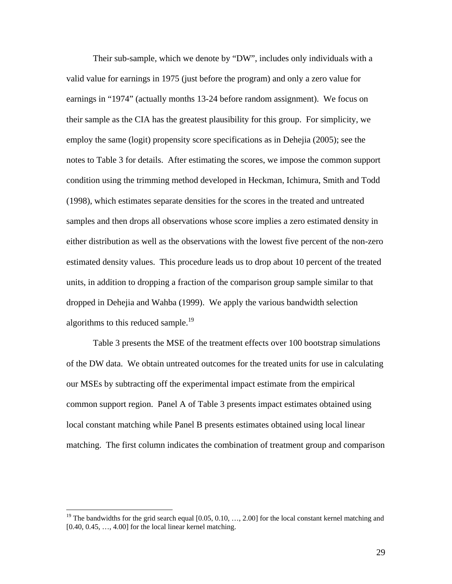Their sub-sample, which we denote by "DW", includes only individuals with a valid value for earnings in 1975 (just before the program) and only a zero value for earnings in "1974" (actually months 13-24 before random assignment). We focus on their sample as the CIA has the greatest plausibility for this group. For simplicity, we employ the same (logit) propensity score specifications as in Dehejia (2005); see the notes to Table 3 for details. After estimating the scores, we impose the common support condition using the trimming method developed in Heckman, Ichimura, Smith and Todd (1998), which estimates separate densities for the scores in the treated and untreated samples and then drops all observations whose score implies a zero estimated density in either distribution as well as the observations with the lowest five percent of the non-zero estimated density values. This procedure leads us to drop about 10 percent of the treated units, in addition to dropping a fraction of the comparison group sample similar to that dropped in Dehejia and Wahba (1999). We apply the various bandwidth selection algorithms to this reduced sample.<sup>19</sup>

Table 3 presents the MSE of the treatment effects over 100 bootstrap simulations of the DW data. We obtain untreated outcomes for the treated units for use in calculating our MSEs by subtracting off the experimental impact estimate from the empirical common support region. Panel A of Table 3 presents impact estimates obtained using local constant matching while Panel B presents estimates obtained using local linear matching. The first column indicates the combination of treatment group and comparison

<sup>&</sup>lt;sup>19</sup> The bandwidths for the grid search equal  $[0.05, 0.10, ..., 2.00]$  for the local constant kernel matching and  $[0.40, 0.45, \ldots, 4.00]$  for the local linear kernel matching.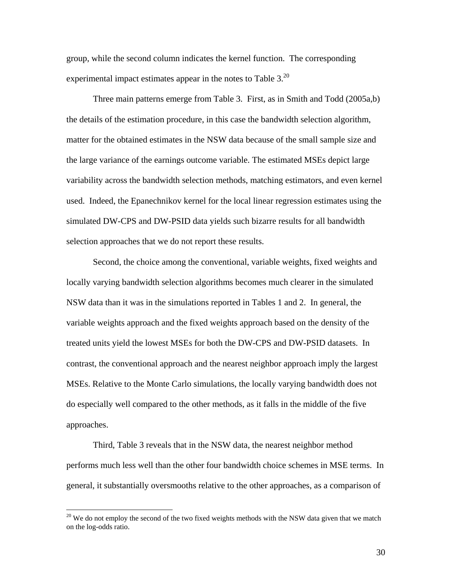group, while the second column indicates the kernel function. The corresponding experimental impact estimates appear in the notes to Table 3.<sup>20</sup>

Three main patterns emerge from Table 3. First, as in Smith and Todd (2005a,b) the details of the estimation procedure, in this case the bandwidth selection algorithm, matter for the obtained estimates in the NSW data because of the small sample size and the large variance of the earnings outcome variable. The estimated MSEs depict large variability across the bandwidth selection methods, matching estimators, and even kernel used. Indeed, the Epanechnikov kernel for the local linear regression estimates using the simulated DW-CPS and DW-PSID data yields such bizarre results for all bandwidth selection approaches that we do not report these results.

Second, the choice among the conventional, variable weights, fixed weights and locally varying bandwidth selection algorithms becomes much clearer in the simulated NSW data than it was in the simulations reported in Tables 1 and 2. In general, the variable weights approach and the fixed weights approach based on the density of the treated units yield the lowest MSEs for both the DW-CPS and DW-PSID datasets. In contrast, the conventional approach and the nearest neighbor approach imply the largest MSEs. Relative to the Monte Carlo simulations, the locally varying bandwidth does not do especially well compared to the other methods, as it falls in the middle of the five approaches.

Third, Table 3 reveals that in the NSW data, the nearest neighbor method performs much less well than the other four bandwidth choice schemes in MSE terms. In general, it substantially oversmooths relative to the other approaches, as a comparison of

 $\overline{a}$ 

 $20$  We do not employ the second of the two fixed weights methods with the NSW data given that we match on the log-odds ratio.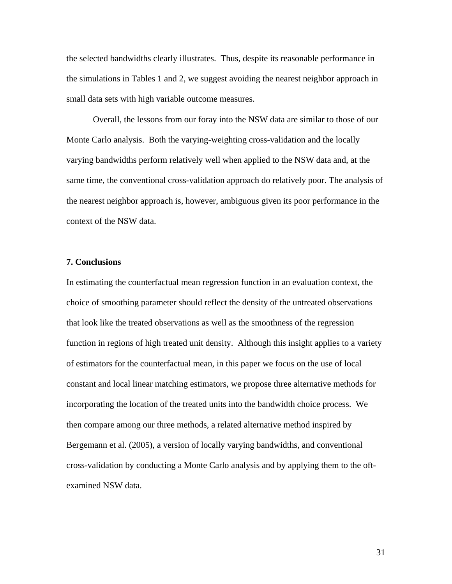the selected bandwidths clearly illustrates. Thus, despite its reasonable performance in the simulations in Tables 1 and 2, we suggest avoiding the nearest neighbor approach in small data sets with high variable outcome measures.

Overall, the lessons from our foray into the NSW data are similar to those of our Monte Carlo analysis. Both the varying-weighting cross-validation and the locally varying bandwidths perform relatively well when applied to the NSW data and, at the same time, the conventional cross-validation approach do relatively poor. The analysis of the nearest neighbor approach is, however, ambiguous given its poor performance in the context of the NSW data.

#### **7. Conclusions**

In estimating the counterfactual mean regression function in an evaluation context, the choice of smoothing parameter should reflect the density of the untreated observations that look like the treated observations as well as the smoothness of the regression function in regions of high treated unit density. Although this insight applies to a variety of estimators for the counterfactual mean, in this paper we focus on the use of local constant and local linear matching estimators, we propose three alternative methods for incorporating the location of the treated units into the bandwidth choice process. We then compare among our three methods, a related alternative method inspired by Bergemann et al. (2005), a version of locally varying bandwidths, and conventional cross-validation by conducting a Monte Carlo analysis and by applying them to the oftexamined NSW data.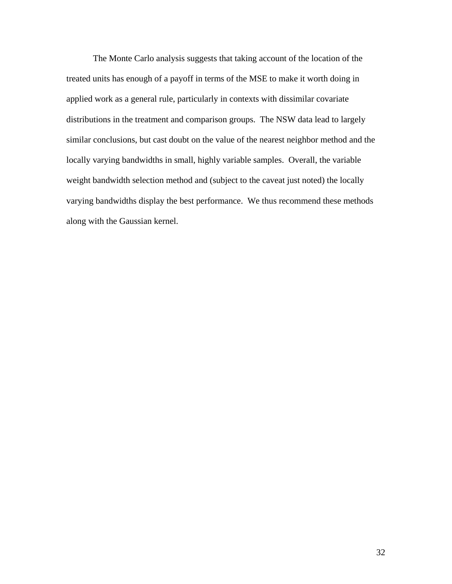The Monte Carlo analysis suggests that taking account of the location of the treated units has enough of a payoff in terms of the MSE to make it worth doing in applied work as a general rule, particularly in contexts with dissimilar covariate distributions in the treatment and comparison groups. The NSW data lead to largely similar conclusions, but cast doubt on the value of the nearest neighbor method and the locally varying bandwidths in small, highly variable samples. Overall, the variable weight bandwidth selection method and (subject to the caveat just noted) the locally varying bandwidths display the best performance. We thus recommend these methods along with the Gaussian kernel.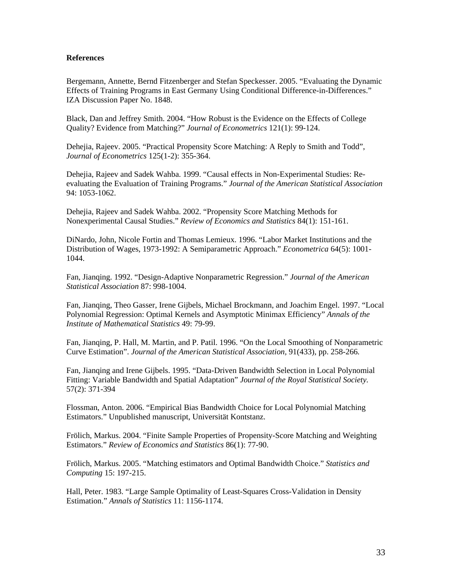#### **References**

Bergemann, Annette, Bernd Fitzenberger and Stefan Speckesser. 2005. "Evaluating the Dynamic Effects of Training Programs in East Germany Using Conditional Difference-in-Differences." IZA Discussion Paper No. 1848.

Black, Dan and Jeffrey Smith. 2004. "How Robust is the Evidence on the Effects of College Quality? Evidence from Matching?" *Journal of Econometrics* 121(1): 99-124.

Dehejia, Rajeev. 2005. "Practical Propensity Score Matching: A Reply to Smith and Todd", *Journal of Econometrics* 125(1-2): 355-364.

Dehejia, Rajeev and Sadek Wahba. 1999. "Causal effects in Non-Experimental Studies: Reevaluating the Evaluation of Training Programs." *Journal of the American Statistical Association* 94: 1053-1062.

Dehejia, Rajeev and Sadek Wahba. 2002. "Propensity Score Matching Methods for Nonexperimental Causal Studies." *Review of Economics and Statistics* 84(1): 151-161.

DiNardo, John, Nicole Fortin and Thomas Lemieux. 1996. "Labor Market Institutions and the Distribution of Wages, 1973-1992: A Semiparametric Approach." *Econometrica* 64(5): 1001- 1044.

Fan, Jianqing. 1992. "Design-Adaptive Nonparametric Regression." *Journal of the American Statistical Association* 87: 998-1004.

Fan, Jianqing, Theo Gasser, Irene Gijbels, Michael Brockmann, and Joachim Engel. 1997. "Local Polynomial Regression: Optimal Kernels and Asymptotic Minimax Efficiency" *Annals of the Institute of Mathematical Statistics* 49: 79-99.

Fan, Jianqing, P. Hall, M. Martin, and P. Patil. 1996. "On the Local Smoothing of Nonparametric Curve Estimation". *Journal of the American Statistical Association,* 91(433), pp. 258-266*.* 

Fan, Jianqing and Irene Gijbels. 1995. "Data-Driven Bandwidth Selection in Local Polynomial Fitting: Variable Bandwidth and Spatial Adaptation" *Journal of the Royal Statistical Society.* 57(2): 371-394

Flossman, Anton. 2006. "Empirical Bias Bandwidth Choice for Local Polynomial Matching Estimators." Unpublished manuscript, Universität Kontstanz.

Frölich, Markus. 2004. "Finite Sample Properties of Propensity-Score Matching and Weighting Estimators." *Review of Economics and Statistics* 86(1): 77-90.

Frölich, Markus. 2005. "Matching estimators and Optimal Bandwidth Choice." *Statistics and Computing* 15: 197-215.

Hall, Peter. 1983. "Large Sample Optimality of Least-Squares Cross-Validation in Density Estimation." *Annals of Statistics* 11: 1156-1174.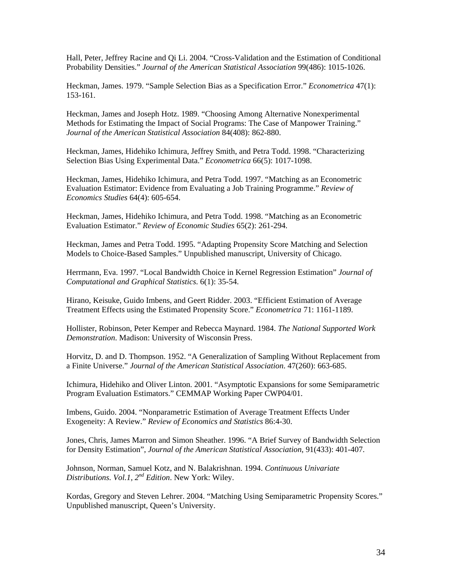Hall, Peter, Jeffrey Racine and Qi Li. 2004. "Cross-Validation and the Estimation of Conditional Probability Densities." *Journal of the American Statistical Association* 99(486): 1015-1026.

Heckman, James. 1979. "Sample Selection Bias as a Specification Error." *Econometrica* 47(1): 153-161.

Heckman, James and Joseph Hotz. 1989. "Choosing Among Alternative Nonexperimental Methods for Estimating the Impact of Social Programs: The Case of Manpower Training." *Journal of the American Statistical Association* 84(408): 862-880.

Heckman, James, Hidehiko Ichimura, Jeffrey Smith, and Petra Todd. 1998. "Characterizing Selection Bias Using Experimental Data." *Econometrica* 66(5): 1017-1098.

Heckman, James, Hidehiko Ichimura, and Petra Todd. 1997. "Matching as an Econometric Evaluation Estimator: Evidence from Evaluating a Job Training Programme." *Review of Economics Studies* 64(4): 605-654.

Heckman, James, Hidehiko Ichimura, and Petra Todd. 1998. "Matching as an Econometric Evaluation Estimator." *Review of Economic Studies* 65(2): 261-294.

Heckman, James and Petra Todd. 1995. "Adapting Propensity Score Matching and Selection Models to Choice-Based Samples." Unpublished manuscript, University of Chicago.

Herrmann, Eva. 1997. "Local Bandwidth Choice in Kernel Regression Estimation" *Journal of Computational and Graphical Statistics*. 6(1): 35-54.

Hirano, Keisuke, Guido Imbens, and Geert Ridder. 2003. "Efficient Estimation of Average Treatment Effects using the Estimated Propensity Score." *Econometrica* 71: 1161-1189.

Hollister, Robinson, Peter Kemper and Rebecca Maynard. 1984. *The National Supported Work Demonstration*. Madison: University of Wisconsin Press.

Horvitz, D. and D. Thompson. 1952. "A Generalization of Sampling Without Replacement from a Finite Universe." *Journal of the American Statistical Association*. 47(260): 663-685.

Ichimura, Hidehiko and Oliver Linton. 2001. "Asymptotic Expansions for some Semiparametric Program Evaluation Estimators." CEMMAP Working Paper CWP04/01.

Imbens, Guido. 2004. "Nonparametric Estimation of Average Treatment Effects Under Exogeneity: A Review." *Review of Economics and Statistics* 86:4-30.

Jones, Chris, James Marron and Simon Sheather. 1996. "A Brief Survey of Bandwidth Selection for Density Estimation", *Journal of the American Statistical Association*, 91(433): 401-407.

Johnson, Norman, Samuel Kotz, and N. Balakrishnan. 1994. *Continuous Univariate Distributions. Vol.1, 2nd Edition*. New York: Wiley.

Kordas, Gregory and Steven Lehrer. 2004. "Matching Using Semiparametric Propensity Scores." Unpublished manuscript, Queen's University.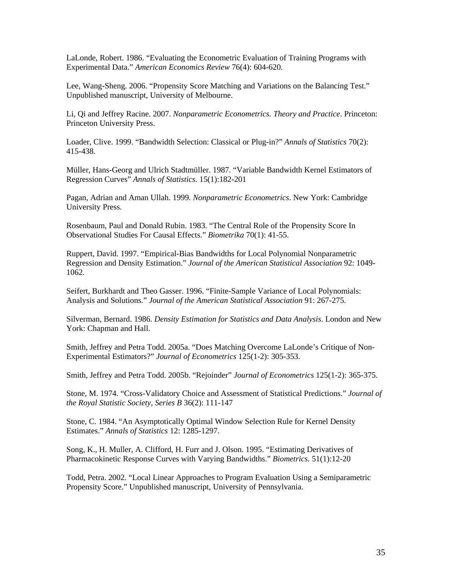LaLonde, Robert. 1986. "Evaluating the Econometric Evaluation of Training Programs with Experimental Data." *American Economics Review* 76(4): 604-620.

Lee, Wang-Sheng. 2006. "Propensity Score Matching and Variations on the Balancing Test." Unpublished manuscript, University of Melbourne.

Li, Qi and Jeffrey Racine. 2007. *Nonparametric Econometrics. Theory and Practice*. Princeton: Princeton University Press.

Loader, Clive. 1999. "Bandwidth Selection: Classical or Plug-in?" *Annals of Statistics* 70(2): 415-438.

Müller, Hans-Georg and Ulrich Stadtmüller. 1987. "Variable Bandwidth Kernel Estimators of Regression Curves" *Annals of Statistics*. 15(1):182-201

Pagan, Adrian and Aman Ullah. 1999. *Nonparametric Econometrics*. New York: Cambridge University Press.

Rosenbaum, Paul and Donald Rubin. 1983. "The Central Role of the Propensity Score In Observational Studies For Causal Effects." *Biometrika* 70(1): 41-55.

Ruppert, David. 1997. "Empirical-Bias Bandwidths for Local Polynomial Nonparametric Regression and Density Estimation." *Journal of the American Statistical Association* 92: 1049- 1062.

Seifert, Burkhardt and Theo Gasser. 1996. "Finite-Sample Variance of Local Polynomials: Analysis and Solutions." *Journal of the American Statistical Association* 91: 267-275.

Silverman, Bernard. 1986. *Density Estimation for Statistics and Data Analysis*. London and New York: Chapman and Hall.

Smith, Jeffrey and Petra Todd. 2005a. "Does Matching Overcome LaLonde's Critique of Non-Experimental Estimators?" *Journal of Econometrics* 125(1-2): 305-353.

Smith, Jeffrey and Petra Todd. 2005b. "Rejoinder" *Journal of Econometrics* 125(1-2): 365-375.

Stone, M. 1974. "Cross-Validatory Choice and Assessment of Statistical Predictions." *Journal of the Royal Statistic Society, Series B* 36(2): 111-147

Stone, C. 1984. "An Asymptotically Optimal Window Selection Rule for Kernel Density Estimates." *Annals of Statistics* 12: 1285-1297.

Song, K., H. Muller, A. Clifford, H. Furr and J. Olson. 1995. "Estimating Derivatives of Pharmacokinetic Response Curves with Varying Bandwidths." *Biometrics.* 51(1):12-20

Todd, Petra. 2002. "Local Linear Approaches to Program Evaluation Using a Semiparametric Propensity Score." Unpublished manuscript, University of Pennsylvania.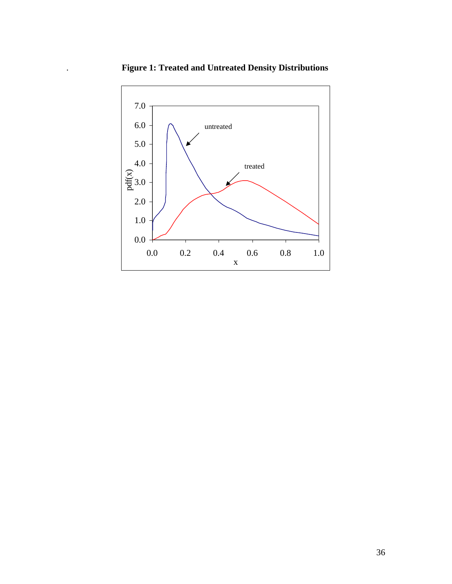

. **Figure 1: Treated and Untreated Density Distributions**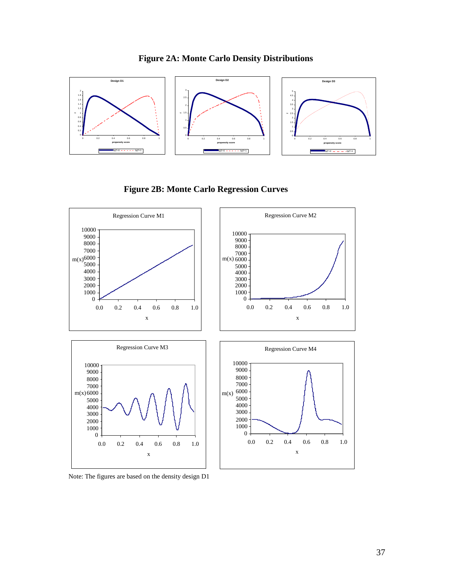







Note: The figures are based on the density design D1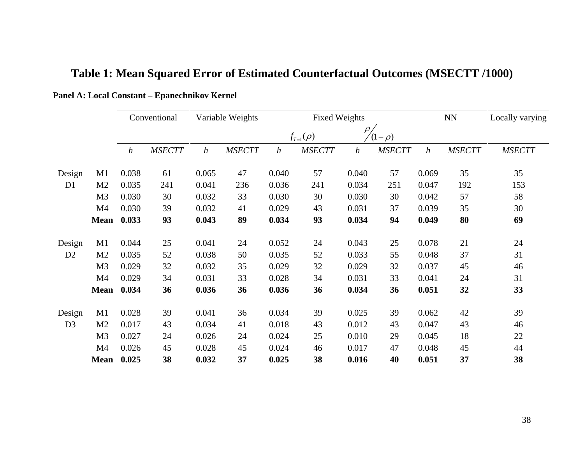|                |                | Conventional     |               | Variable Weights |               |                  | <b>Fixed Weights</b> |                  | <b>NN</b>     |                  | Locally varying |               |
|----------------|----------------|------------------|---------------|------------------|---------------|------------------|----------------------|------------------|---------------|------------------|-----------------|---------------|
|                |                |                  |               |                  |               |                  | $f_{T=1}(\rho)$      | $\rho$           | $(1-\rho)$    |                  |                 |               |
|                |                | $\boldsymbol{h}$ | <b>MSECTT</b> | $\boldsymbol{h}$ | <b>MSECTT</b> | $\boldsymbol{h}$ | <b>MSECTT</b>        | $\boldsymbol{h}$ | <b>MSECTT</b> | $\boldsymbol{h}$ | <b>MSECTT</b>   | <b>MSECTT</b> |
| Design         | M1             | 0.038            | 61            | 0.065            | 47            | 0.040            | 57                   | 0.040            | 57            | 0.069            | 35              | 35            |
| D <sub>1</sub> | M <sub>2</sub> | 0.035            | 241           | 0.041            | 236           | 0.036            | 241                  | 0.034            | 251           | 0.047            | 192             | 153           |
|                | M <sub>3</sub> | 0.030            | 30            | 0.032            | 33            | 0.030            | 30                   | 0.030            | 30            | 0.042            | 57              | 58            |
|                | M4             | 0.030            | 39            | 0.032            | 41            | 0.029            | 43                   | 0.031            | 37            | 0.039            | 35              | 30            |
|                | <b>Mean</b>    | 0.033            | 93            | 0.043            | 89            | 0.034            | 93                   | 0.034            | 94            | 0.049            | 80              | 69            |
| Design         | M1             | 0.044            | 25            | 0.041            | 24            | 0.052            | 24                   | 0.043            | 25            | 0.078            | 21              | 24            |
| D2             | M <sub>2</sub> | 0.035            | 52            | 0.038            | 50            | 0.035            | 52                   | 0.033            | 55            | 0.048            | 37              | 31            |
|                | M <sub>3</sub> | 0.029            | 32            | 0.032            | 35            | 0.029            | 32                   | 0.029            | 32            | 0.037            | 45              | 46            |
|                | M4             | 0.029            | 34            | 0.031            | 33            | 0.028            | 34                   | 0.031            | 33            | 0.041            | 24              | 31            |
|                | <b>Mean</b>    | 0.034            | 36            | 0.036            | 36            | 0.036            | 36                   | 0.034            | 36            | 0.051            | 32              | 33            |
| Design         | M1             | 0.028            | 39            | 0.041            | 36            | 0.034            | 39                   | 0.025            | 39            | 0.062            | 42              | 39            |
| D <sub>3</sub> | M2             | 0.017            | 43            | 0.034            | 41            | 0.018            | 43                   | 0.012            | 43            | 0.047            | 43              | 46            |
|                | M <sub>3</sub> | 0.027            | 24            | 0.026            | 24            | 0.024            | 25                   | 0.010            | 29            | 0.045            | 18              | 22            |
|                | M4             | 0.026            | 45            | 0.028            | 45            | 0.024            | 46                   | 0.017            | 47            | 0.048            | 45              | 44            |
|                | <b>Mean</b>    | 0.025            | 38            | 0.032            | 37            | 0.025            | 38                   | 0.016            | 40            | 0.051            | 37              | 38            |

# **Table 1: Mean Squared Error of Estimated Counterfactual Outcomes (MSECTT /1000)**

## **Panel A: Local Constant – Epanechnikov Kernel**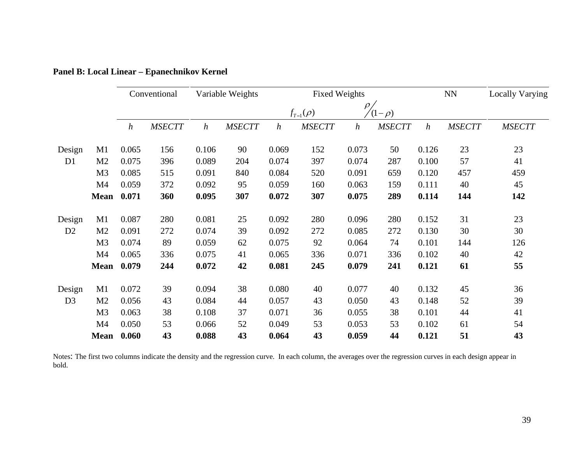|                |                | Conventional     |               | Variable Weights |               | <b>Fixed Weights</b>        |               |                  |               | ${\rm NN}$       |               | Locally Varying |
|----------------|----------------|------------------|---------------|------------------|---------------|-----------------------------|---------------|------------------|---------------|------------------|---------------|-----------------|
|                |                |                  |               |                  |               | $\rho_.$<br>$f_{T=1}(\rho)$ |               |                  | $(1-\rho)$    |                  |               |                 |
|                |                | $\boldsymbol{h}$ | <b>MSECTT</b> | $\boldsymbol{h}$ | <b>MSECTT</b> | $\boldsymbol{h}$            | <b>MSECTT</b> | $\boldsymbol{h}$ | <b>MSECTT</b> | $\boldsymbol{h}$ | <b>MSECTT</b> | <b>MSECTT</b>   |
| Design         | M1             | 0.065            | 156           | 0.106            | 90            | 0.069                       | 152           | 0.073            | 50            | 0.126            | 23            | 23              |
| D1             | M <sub>2</sub> | 0.075            | 396           | 0.089            | 204           | 0.074                       | 397           | 0.074            | 287           | 0.100            | 57            | 41              |
|                | M <sub>3</sub> | 0.085            | 515           | 0.091            | 840           | 0.084                       | 520           | 0.091            | 659           | 0.120            | 457           | 459             |
|                | M4             | 0.059            | 372           | 0.092            | 95            | 0.059                       | 160           | 0.063            | 159           | 0.111            | 40            | 45              |
|                | <b>Mean</b>    | 0.071            | 360           | 0.095            | 307           | 0.072                       | 307           | 0.075            | 289           | 0.114            | 144           | 142             |
| Design         | M1             | 0.087            | 280           | 0.081            | 25            | 0.092                       | 280           | 0.096            | 280           | 0.152            | 31            | 23              |
| D <sub>2</sub> | M <sub>2</sub> | 0.091            | 272           | 0.074            | 39            | 0.092                       | 272           | 0.085            | 272           | 0.130            | 30            | 30              |
|                | M <sub>3</sub> | 0.074            | 89            | 0.059            | 62            | 0.075                       | 92            | 0.064            | 74            | 0.101            | 144           | 126             |
|                | M <sub>4</sub> | 0.065            | 336           | 0.075            | 41            | 0.065                       | 336           | 0.071            | 336           | 0.102            | 40            | 42              |
|                | <b>Mean</b>    | 0.079            | 244           | 0.072            | 42            | 0.081                       | 245           | 0.079            | 241           | 0.121            | 61            | 55              |
| Design         | M1             | 0.072            | 39            | 0.094            | 38            | 0.080                       | 40            | 0.077            | 40            | 0.132            | 45            | 36              |
| D <sub>3</sub> | M <sub>2</sub> | 0.056            | 43            | 0.084            | 44            | 0.057                       | 43            | 0.050            | 43            | 0.148            | 52            | 39              |
|                | M <sub>3</sub> | 0.063            | 38            | 0.108            | 37            | 0.071                       | 36            | 0.055            | 38            | 0.101            | 44            | 41              |
|                | M4             | 0.050            | 53            | 0.066            | 52            | 0.049                       | 53            | 0.053            | 53            | 0.102            | 61            | 54              |
|                | <b>Mean</b>    | 0.060            | 43            | 0.088            | 43            | 0.064                       | 43            | 0.059            | 44            | 0.121            | 51            | 43              |

**Panel B: Local Linear – Epanechnikov Kernel** 

Notes: The first two columns indicate the density and the regression curve. In each column, the averages over the regression curves in each design appear in bold.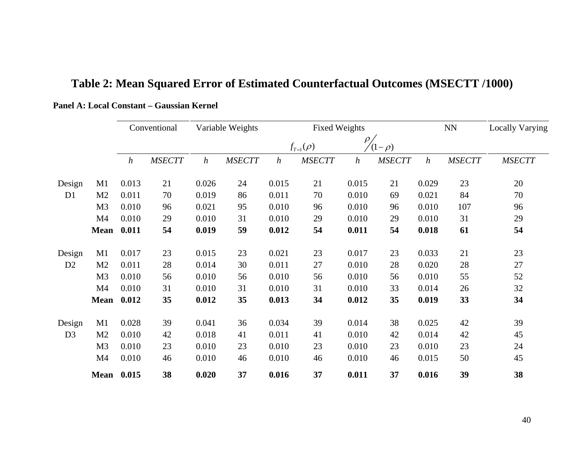|                |                   | Conventional     |               | Variable Weights |               | <b>Fixed Weights</b> |               |                      |               |                  | ${\rm NN}$    | Locally Varying |
|----------------|-------------------|------------------|---------------|------------------|---------------|----------------------|---------------|----------------------|---------------|------------------|---------------|-----------------|
|                |                   |                  |               |                  |               | $f_{T=1}(\rho)$      |               | $\rho$<br>$(1-\rho)$ |               |                  |               |                 |
|                |                   | $\boldsymbol{h}$ | <b>MSECTT</b> | $\boldsymbol{h}$ | <b>MSECTT</b> | $\boldsymbol{h}$     | <b>MSECTT</b> | $\boldsymbol{h}$     | <b>MSECTT</b> | $\boldsymbol{h}$ | <b>MSECTT</b> | <b>MSECTT</b>   |
| Design         | M1                | 0.013            | 21            | 0.026            | 24            | 0.015                | 21            | 0.015                | 21            | 0.029            | 23            | 20              |
| D <sub>1</sub> | M <sub>2</sub>    | 0.011            | 70            | 0.019            | 86            | 0.011                | 70            | 0.010                | 69            | 0.021            | 84            | 70              |
|                | M <sub>3</sub>    | 0.010            | 96            | 0.021            | 95            | 0.010                | 96            | 0.010                | 96            | 0.010            | 107           | 96              |
|                | M4                | 0.010            | 29            | 0.010            | 31            | 0.010                | 29            | 0.010                | 29            | 0.010            | 31            | 29              |
|                | <b>Mean</b>       | 0.011            | 54            | 0.019            | 59            | 0.012                | 54            | 0.011                | 54            | 0.018            | 61            | 54              |
| Design         | M1                | 0.017            | 23            | 0.015            | 23            | 0.021                | 23            | 0.017                | 23            | 0.033            | 21            | 23              |
| D <sub>2</sub> | M <sub>2</sub>    | 0.011            | 28            | 0.014            | 30            | 0.011                | 27            | 0.010                | 28            | 0.020            | 28            | 27              |
|                | M <sub>3</sub>    | 0.010            | 56            | 0.010            | 56            | 0.010                | 56            | 0.010                | 56            | 0.010            | 55            | 52              |
|                | M4                | 0.010            | 31            | 0.010            | 31            | 0.010                | 31            | 0.010                | 33            | 0.014            | 26            | 32              |
|                | <b>Mean</b>       | 0.012            | 35            | 0.012            | 35            | 0.013                | 34            | 0.012                | 35            | 0.019            | 33            | 34              |
| Design         | M1                | 0.028            | 39            | 0.041            | 36            | 0.034                | 39            | 0.014                | 38            | 0.025            | 42            | 39              |
| D <sub>3</sub> | M <sub>2</sub>    | 0.010            | 42            | 0.018            | 41            | 0.011                | 41            | 0.010                | 42            | 0.014            | 42            | 45              |
|                | M <sub>3</sub>    | 0.010            | 23            | 0.010            | 23            | 0.010                | 23            | 0.010                | 23            | 0.010            | 23            | 24              |
|                | M4                | 0.010            | 46            | 0.010            | 46            | 0.010                | 46            | 0.010                | 46            | 0.015            | 50            | 45              |
|                | <b>Mean</b> 0.015 |                  | 38            | 0.020            | 37            | 0.016                | 37            | 0.011                | 37            | 0.016            | 39            | 38              |

# **Table 2: Mean Squared Error of Estimated Counterfactual Outcomes (MSECTT /1000)**

**Panel A: Local Constant – Gaussian Kernel**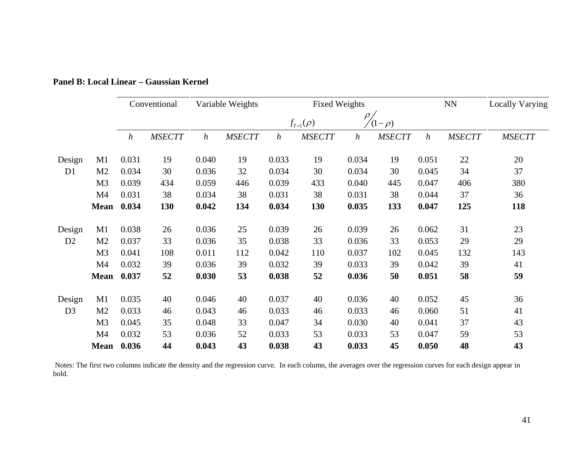|                |                | Conventional     |               | Variable Weights |               | <b>Fixed Weights</b> |                 |                  |               | <b>NN</b>        |               | Locally Varying |
|----------------|----------------|------------------|---------------|------------------|---------------|----------------------|-----------------|------------------|---------------|------------------|---------------|-----------------|
|                |                |                  |               |                  |               |                      | $f_{T=1}(\rho)$ | $(1-\rho)$       |               |                  |               |                 |
|                |                | $\boldsymbol{h}$ | <b>MSECTT</b> | $\boldsymbol{h}$ | <b>MSECTT</b> | $\boldsymbol{h}$     | <b>MSECTT</b>   | $\boldsymbol{h}$ | <b>MSECTT</b> | $\boldsymbol{h}$ | <b>MSECTT</b> | <b>MSECTT</b>   |
| Design         | M1             | 0.031            | 19            | 0.040            | 19            | 0.033                | 19              | 0.034            | 19            | 0.051            | 22            | 20              |
| D <sub>1</sub> | M <sub>2</sub> | 0.034            | 30            | 0.036            | 32            | 0.034                | 30              | 0.034            | 30            | 0.045            | 34            | 37              |
|                | M <sub>3</sub> | 0.039            | 434           | 0.059            | 446           | 0.039                | 433             | 0.040            | 445           | 0.047            | 406           | 380             |
|                | M <sub>4</sub> | 0.031            | 38            | 0.034            | 38            | 0.031                | 38              | 0.031            | 38            | 0.044            | 37            | 36              |
|                | <b>Mean</b>    | 0.034            | 130           | 0.042            | 134           | 0.034                | 130             | 0.035            | 133           | 0.047            | 125           | 118             |
| Design         | M1             | 0.038            | 26            | 0.036            | 25            | 0.039                | 26              | 0.039            | 26            | 0.062            | 31            | 23              |
| D <sub>2</sub> | M <sub>2</sub> | 0.037            | 33            | 0.036            | 35            | 0.038                | 33              | 0.036            | 33            | 0.053            | 29            | 29              |
|                | M <sub>3</sub> | 0.041            | 108           | 0.011            | 112           | 0.042                | 110             | 0.037            | 102           | 0.045            | 132           | 143             |
|                | M4             | 0.032            | 39            | 0.036            | 39            | 0.032                | 39              | 0.033            | 39            | 0.042            | 39            | 41              |
|                | <b>Mean</b>    | 0.037            | 52            | 0.030            | 53            | 0.038                | 52              | 0.036            | 50            | 0.051            | 58            | 59              |
| Design         | M1             | 0.035            | 40            | 0.046            | 40            | 0.037                | 40              | 0.036            | 40            | 0.052            | 45            | 36              |
| D <sub>3</sub> | M <sub>2</sub> | 0.033            | 46            | 0.043            | 46            | 0.033                | 46              | 0.033            | 46            | 0.060            | 51            | 41              |
|                | M <sub>3</sub> | 0.045            | 35            | 0.048            | 33            | 0.047                | 34              | 0.030            | 40            | 0.041            | 37            | 43              |
|                | M4             | 0.032            | 53            | 0.036            | 52            | 0.033                | 53              | 0.033            | 53            | 0.047            | 59            | 53              |
|                | <b>Mean</b>    | 0.036            | 44            | 0.043            | 43            | 0.038                | 43              | 0.033            | 45            | 0.050            | 48            | 43              |

**Panel B: Local Linear – Gaussian Kernel**

 Notes: The first two columns indicate the density and the regression curve. In each column, the averages over the regression curves for each design appear in bold.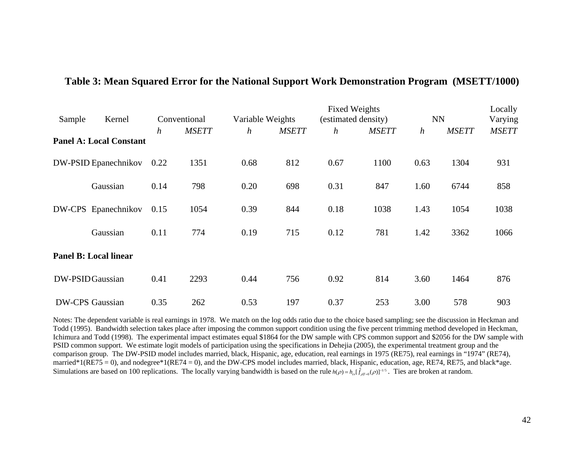|        |                                | Conventional     |              | <b>Fixed Weights</b><br><b>NN</b><br>Variable Weights<br>(estimated density) |              |                  |              |                  |              |              |  |  |
|--------|--------------------------------|------------------|--------------|------------------------------------------------------------------------------|--------------|------------------|--------------|------------------|--------------|--------------|--|--|
| Sample | Kernel                         |                  |              |                                                                              |              |                  |              | $\boldsymbol{h}$ | <b>MSETT</b> | Varying      |  |  |
|        | <b>Panel A: Local Constant</b> | $\boldsymbol{h}$ | <b>MSETT</b> | $\boldsymbol{h}$                                                             | <b>MSETT</b> | $\boldsymbol{h}$ | <b>MSETT</b> |                  |              | <b>MSETT</b> |  |  |
|        | DW-PSID Epanechnikov           | 0.22             | 1351         | 0.68                                                                         | 812          | 0.67             | 1100         | 0.63             | 1304         | 931          |  |  |
|        | Gaussian                       | 0.14             | 798          | 0.20                                                                         | 698          | 0.31             | 847          | 1.60             | 6744         | 858          |  |  |
|        | DW-CPS Epanechnikov            | 0.15             | 1054         | 0.39                                                                         | 844          | 0.18             | 1038         | 1.43             | 1054<br>3362 | 1038         |  |  |
|        | Gaussian                       | 0.11             | 774          | 0.19                                                                         | 715          | 0.12             | 781          | 1.42             |              | 1066         |  |  |
|        | <b>Panel B: Local linear</b>   |                  |              |                                                                              |              |                  |              |                  |              |              |  |  |
|        | DW-PSID Gaussian               | 0.41             | 2293         | 0.44                                                                         | 756          | 0.92             | 814          | 3.60             | 1464         | 876          |  |  |
|        | <b>DW-CPS</b> Gaussian         | 0.35             | 262          | 0.53                                                                         | 197          | 0.37             | 253          | 3.00             | 578          | 903          |  |  |

### **Table 3: Mean Squared Error for the National Support Work Demonstration Program (MSETT/1000)**

Notes: The dependent variable is real earnings in 1978. We match on the log odds ratio due to the choice based sampling; see the discussion in Heckman and Todd (1995). Bandwidth selection takes place after imposing the common support condition using the five percent trimming method developed in Heckman, Ichimura and Todd (1998). The experimental impact estimates equal \$1864 for the DW sample with CPS common support and \$2056 for the DW sample with PSID common support. We estimate logit models of participation using the specifications in Dehejia (2005), the experimental treatment group and the comparison group. The DW-PSID model includes married, black, Hispanic, age, education, real earnings in 1975 (RE75), real earnings in "1974" (RE74), married\*1(RE75 = 0), and nodegree\*1(RE74 = 0), and the DW-CPS model includes married, black, Hispanic, education, age, RE74, RE75, and black\*age. Simulations are based on 100 replications. The locally varying bandwidth is based on the rule  $h(\rho) = h_{c}[\hat{f}_{\rho T=0}(\rho)]^{-1/5}$ . Ties are broken at random.